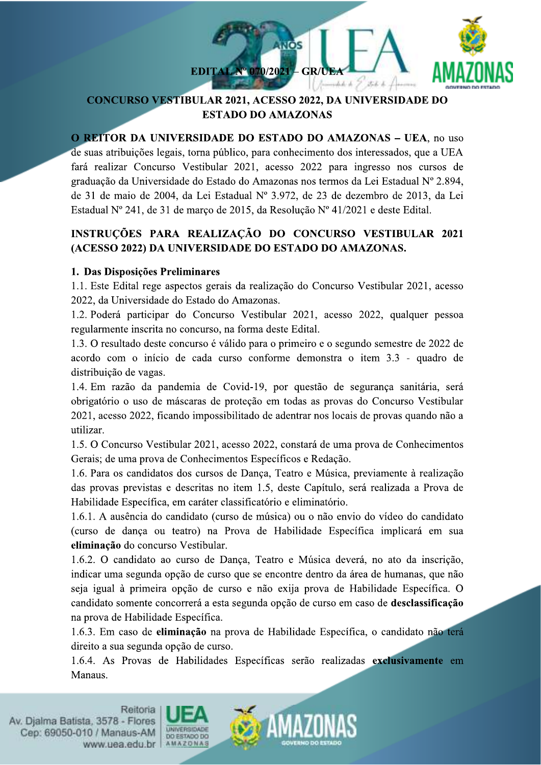

## **CONCURSO VESTIBULAR 2021, ACESSO 2022, DA UNIVERSIDADE DO ESTADO DO AMAZONAS**

O REITOR DA UNIVERSIDADE DO ESTADO DO AMAZONAS - UEA, no uso de suas atribuições legais, torna público, para conhecimento dos interessados, que a UEA fará realizar Concurso Vestibular 2021, acesso 2022 para ingresso nos cursos de graduação da Universidade do Estado do Amazonas nos termos da Lei Estadual Nº 2.894, de 31 de maio de 2004, da Lei Estadual Nº 3.972, de 23 de dezembro de 2013, da Lei Estadual Nº 241, de 31 de março de 2015, da Resolução Nº 41/2021 e deste Edital.

# INSTRUÇÕES PARA REALIZAÇÃO DO CONCURSO VESTIBULAR 2021 (ACESSO 2022) DA UNIVERSIDADE DO ESTADO DO AMAZONAS.

## 1. Das Disposições Preliminares

1.1. Este Edital rege aspectos gerais da realização do Concurso Vestibular 2021, acesso 2022, da Universidade do Estado do Amazonas.

1.2. Poderá participar do Concurso Vestibular 2021, acesso 2022, qualquer pessoa regularmente inscrita no concurso, na forma deste Edital.

1.3. O resultado deste concurso é válido para o primeiro e o segundo semestre de 2022 de acordo com o início de cada curso conforme demonstra o item 3.3 - quadro de distribuição de vagas.

1.4. Em razão da pandemia de Covid-19, por questão de segurança sanitária, será obrigatório o uso de máscaras de proteção em todas as provas do Concurso Vestibular 2021, acesso 2022, ficando impossibilitado de adentrar nos locais de provas quando não a utilizar.

1.5. O Concurso Vestibular 2021, acesso 2022, constará de uma prova de Conhecimentos Gerais; de uma prova de Conhecimentos Específicos e Redação.

1.6. Para os candidatos dos cursos de Dança, Teatro e Música, previamente à realização das provas previstas e descritas no item 1.5, deste Capítulo, será realizada a Prova de Habilidade Específica, em caráter classificatório e eliminatório.

1.6.1. A ausência do candidato (curso de música) ou o não envio do vídeo do candidato (curso de dança ou teatro) na Prova de Habilidade Específica implicará em sua eliminação do concurso Vestibular.

1.6.2. O candidato ao curso de Dança, Teatro e Música deverá, no ato da inscrição, indicar uma segunda opção de curso que se encontre dentro da área de humanas, que não seja igual à primeira opção de curso e não exija prova de Habilidade Específica. O candidato somente concorrerá a esta segunda opção de curso em caso de desclassificação na prova de Habilidade Específica.

1.6.3. Em caso de eliminação na prova de Habilidade Específica, o candidato não terá direito a sua segunda opção de curso.

1.6.4. As Provas de Habilidades Específicas serão realizadas exclusivamente em Manaus.



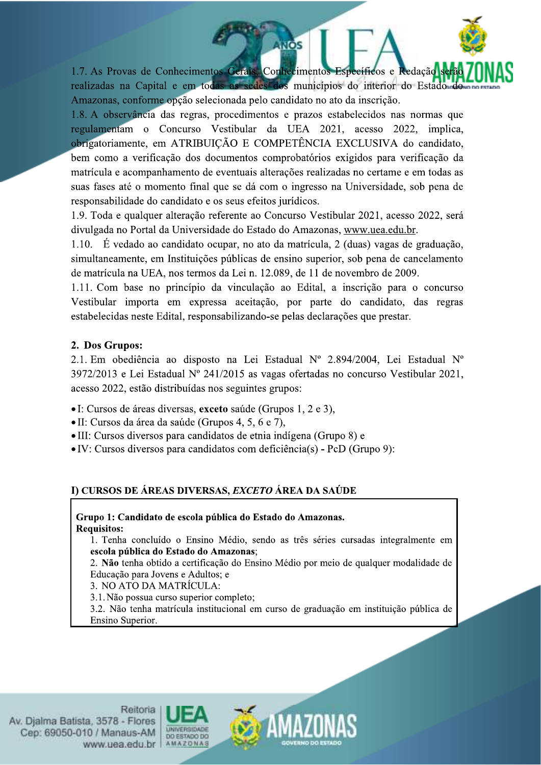1.7. As Provas de Conhecimentos Gerais, Conhecimentos Específicos e Redação realizadas na Capital e em todas as sedes dos municípios do interior do Estado Amazonas, conforme opção selecionada pelo candidato no ato da inscrição.

**INOS** 

1.8. A observância das regras, procedimentos e prazos estabelecidos nas normas que regulamentam o Concurso Vestibular da UEA 2021, acesso 2022, implica, obrigatoriamente, em ATRIBUIÇÃO E COMPETÊNCIA EXCLUSIVA do candidato, bem como a verificação dos documentos comprobatórios exigidos para verificação da matrícula e acompanhamento de eventuais alterações realizadas no certame e em todas as suas fases até o momento final que se dá com o ingresso na Universidade, sob pena de responsabilidade do candidato e os seus efeitos jurídicos.

1.9. Toda e qualquer alteração referente ao Concurso Vestibular 2021, acesso 2022, será divulgada no Portal da Universidade do Estado do Amazonas, www.uea.edu.br.

1.10. É vedado ao candidato ocupar, no ato da matrícula, 2 (duas) vagas de graduação, simultaneamente, em Instituições públicas de ensino superior, sob pena de cancelamento de matrícula na UEA, nos termos da Lei n. 12.089, de 11 de novembro de 2009.

1.11. Com base no princípio da vinculação ao Edital, a inscrição para o concurso Vestibular importa em expressa aceitação, por parte do candidato, das regras estabelecidas neste Edital, responsabilizando-se pelas declarações que prestar.

### 2. Dos Grupos:

2.1. Em obediência ao disposto na Lei Estadual Nº 2.894/2004, Lei Estadual Nº 3972/2013 e Lei Estadual Nº 241/2015 as vagas ofertadas no concurso Vestibular 2021, acesso 2022, estão distribuídas nos seguintes grupos:

- I: Cursos de áreas diversas, exceto saúde (Grupos 1, 2 e 3),
- · II: Cursos da área da saúde (Grupos 4, 5, 6 e 7),
- III: Cursos diversos para candidatos de etnia indígena (Grupo 8) e
- $\bullet$  IV: Cursos diversos para candidatos com deficiência(s) PcD (Grupo 9):

## I) CURSOS DE ÁREAS DIVERSAS, EXCETO ÁREA DA SAÚDE

Grupo 1: Candidato de escola pública do Estado do Amazonas. **Requisitos:** 

1. Tenha concluído o Ensino Médio, sendo as três séries cursadas integralmente em escola pública do Estado do Amazonas;

2. Não tenha obtido a certificação do Ensino Médio por meio de qualquer modalidade de Educação para Jovens e Adultos; e

3. NO ATO DA MATRÍCULA:

3.1. Não possua curso superior completo;

3.2. Não tenha matrícula institucional em curso de graduação em instituição pública de Ensino Superior.



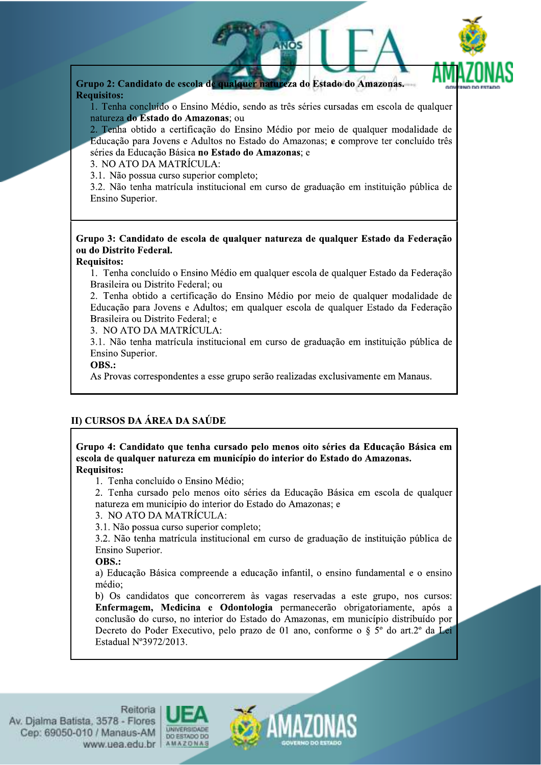

Grupo 2: Candidato de escola de qualquer natureza do Estado do Amazonas. **Requisitos:** 

1. Tenha concluído o Ensino Médio, sendo as três séries cursadas em escola de qualquer natureza do Estado do Amazonas; ou

2. Tenha obtido a certificação do Ensino Médio por meio de qualquer modalidade de Educação para Jovens e Adultos no Estado do Amazonas; e comprove ter concluído três séries da Educação Básica no Estado do Amazonas; e

3. NO ATO DA MATRÍCULA:

3.1. Não possua curso superior completo;

3.2. Não tenha matrícula institucional em curso de graduação em instituição pública de Ensino Superior.

### Grupo 3: Candidato de escola de qualquer natureza de qualquer Estado da Federação ou do Distrito Federal.

#### **Requisitos:**

1. Tenha concluído o Ensino Médio em qualquer escola de qualquer Estado da Federação Brasileira ou Distrito Federal: ou

2. Tenha obtido a certificação do Ensino Médio por meio de qualquer modalidade de Educação para Jovens e Adultos; em qualquer escola de qualquer Estado da Federação Brasileira ou Distrito Federal: e

3. NO ATO DA MATRÍCULA:

3.1. Não tenha matrícula institucional em curso de graduação em instituição pública de Ensino Superior.

### OBS.:

As Provas correspondentes a esse grupo serão realizadas exclusivamente em Manaus.

### II) CURSOS DA ÁREA DA SAÚDE

#### Grupo 4: Candidato que tenha cursado pelo menos oito séries da Educação Básica em escola de qualquer natureza em município do interior do Estado do Amazonas. **Requisitos:**

1. Tenha concluído o Ensino Médio;

2. Tenha cursado pelo menos oito séries da Educação Básica em escola de qualquer natureza em município do interior do Estado do Amazonas: e

3. NO ATO DA MATRÍCULA:

3.1. Não possua curso superior completo:

3.2. Não tenha matrícula institucional em curso de graduação de instituição pública de Ensino Superior.

### OBS.:

a) Educação Básica compreende a educação infantil, o ensino fundamental e o ensino médio:

b) Os candidatos que concorrerem às vagas reservadas a este grupo, nos cursos: Enfermagem, Medicina e Odontologia permanecerão obrigatoriamente, após a conclusão do curso, no interior do Estado do Amazonas, em município distribuído por Decreto do Poder Executivo, pelo prazo de 01 ano, conforme o § 5<sup>°</sup> do art.2<sup>°</sup> da Lei Estadual N°3972/2013.



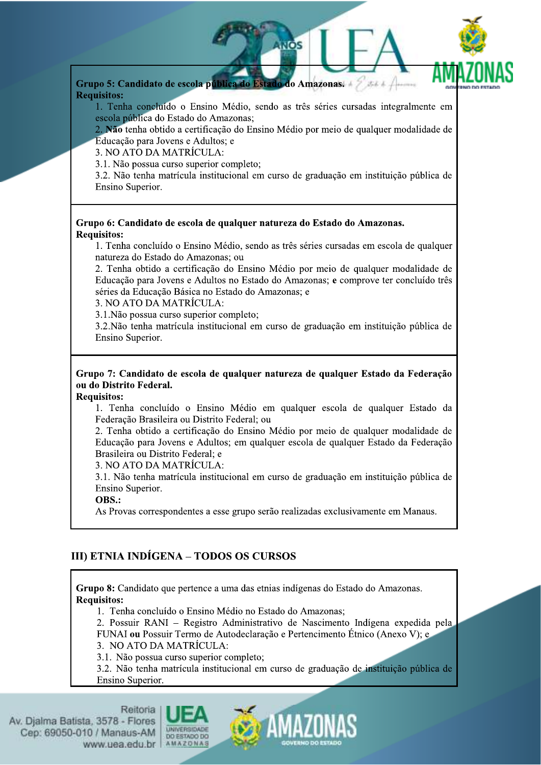

Grupo 5: Candidato de escola pública do Estado do Amazonas. **Requisitos:** 

1. Tenha concluído o Ensino Médio, sendo as três séries cursadas integralmente em escola pública do Estado do Amazonas;

2. Não tenha obtido a certificação do Ensino Médio por meio de qualquer modalidade de Educação para Jovens e Adultos; e

3. NO ATO DA MATRÍCULA:

3.1. Não possua curso superior completo;

3.2. Não tenha matrícula institucional em curso de graduação em instituição pública de Ensino Superior.

#### Grupo 6: Candidato de escola de qualquer natureza do Estado do Amazonas. **Requisitos:**

1. Tenha concluído o Ensino Médio, sendo as três séries cursadas em escola de qualquer natureza do Estado do Amazonas; ou

2. Tenha obtido a certificação do Ensino Médio por meio de qualquer modalidade de Educação para Jovens e Adultos no Estado do Amazonas; e comprove ter concluído três séries da Educação Básica no Estado do Amazonas; e

3. NO ATO DA MATRÍCULA:

3.1. Não possua curso superior completo:

3.2. Não tenha matrícula institucional em curso de graduação em instituição pública de Ensino Superior.

### Grupo 7: Candidato de escola de qualquer natureza de qualquer Estado da Federação ou do Distrito Federal.

#### **Requisitos:**

1. Tenha concluído o Ensino Médio em qualquer escola de qualquer Estado da Federação Brasileira ou Distrito Federal; ou

2. Tenha obtido a certificação do Ensino Médio por meio de qualquer modalidade de Educação para Jovens e Adultos; em qualquer escola de qualquer Estado da Federação Brasileira ou Distrito Federal: e

3. NO ATO DA MATRÍCULA:

3.1. Não tenha matrícula institucional em curso de graduação em instituição pública de Ensino Superior.

### OBS.:

As Provas correspondentes a esse grupo serão realizadas exclusivamente em Manaus.

## III) ETNIA INDÍGENA - TODOS OS CURSOS

Grupo 8: Candidato que pertence a uma das etnias indígenas do Estado do Amazonas. **Requisitos:** 

1. Tenha concluído o Ensino Médio no Estado do Amazonas;

2. Possuir RANI – Registro Administrativo de Nascimento Indígena expedida pela FUNAI ou Possuir Termo de Autodeclaração e Pertencimento Étnico (Anexo V); e

3. NO ATO DA MATRÍCULA:

3.1. Não possua curso superior completo;

3.2. Não tenha matrícula institucional em curso de graduação de instituição pública de Ensino Superior.



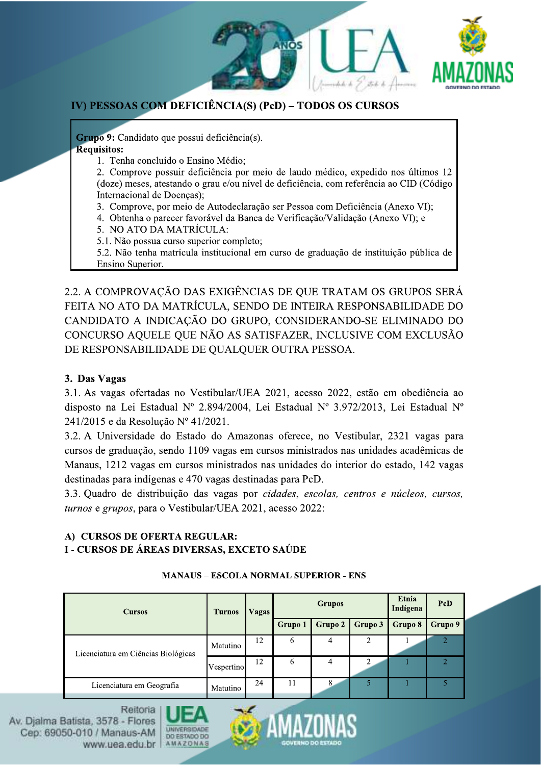



## IV) PESSOAS COM DEFICIÊNCIA(S) (PcD) - TODOS OS CURSOS

Grupo 9: Candidato que possui deficiência(s). **Requisitos:** 

1. Tenha concluído o Ensino Médio:

2. Comprove possuir deficiência por meio de laudo médico, expedido nos últimos 12 (doze) meses, atestando o grau e/ou nível de deficiência, com referência ao CID (Código Internacional de Doenças);

- 3. Comprove, por meio de Autodeclaração ser Pessoa com Deficiência (Anexo VI);
- 4. Obtenha o parecer favorável da Banca de Verificação/Validação (Anexo VI); e
- 5. NO ATO DA MATRÍCULA:
- 5.1. Não possua curso superior completo;

5.2. Não tenha matrícula institucional em curso de graduação de instituição pública de Ensino Superior.

2.2. A COMPROVAÇÃO DAS EXIGÊNCIAS DE QUE TRATAM OS GRUPOS SERÁ FEITA NO ATO DA MATRÍCULA, SENDO DE INTEIRA RESPONSABILIDADE DO CANDIDATO A INDICAÇÃO DO GRUPO, CONSIDERANDO-SE ELIMINADO DO CONCURSO AQUELE QUE NÃO AS SATISFAZER, INCLUSIVE COM EXCLUSÃO DE RESPONSABILIDADE DE QUALQUER OUTRA PESSOA.

### 3. Das Vagas

3.1. As vagas ofertadas no Vestibular/UEA 2021, acesso 2022, estão em obediência ao disposto na Lei Estadual Nº 2.894/2004, Lei Estadual Nº 3.972/2013, Lei Estadual Nº 241/2015 e da Resolução Nº 41/2021.

3.2. A Universidade do Estado do Amazonas oferece, no Vestibular, 2321 vagas para cursos de graduação, sendo 1109 vagas em cursos ministrados nas unidades acadêmicas de Manaus, 1212 vagas em cursos ministrados nas unidades do interior do estado, 142 vagas destinadas para indígenas e 470 vagas destinadas para PcD.

3.3. Quadro de distribuição das vagas por cidades, escolas, centros e núcleos, cursos, turnos e grupos, para o Vestibular/UEA 2021, acesso 2022:

# A) CURSOS DE OFERTA REGULAR:

### I - CURSOS DE ÁREAS DIVERSAS, EXCETO SAÚDE

| <b>Cursos</b>                       | <b>Turnos</b> | Vagas |         | <b>Grupos</b> |                | Etnia<br>Indígena | PcD     |
|-------------------------------------|---------------|-------|---------|---------------|----------------|-------------------|---------|
|                                     |               |       | Grupo 1 | Grupo 2       | Grupo 3        | Grupo 8           | Grupo 9 |
| Licenciatura em Ciências Biológicas | Matutino      | 12    | 6       | 4             | $\overline{c}$ |                   |         |
|                                     | Vespertino    | 12    | 6       | 4             | ↑              |                   |         |
| Licenciatura em Geografía           | Matutino      | 24    | 11      |               | 5              |                   | 5       |

### **MANAUS - ESCOLA NORMAL SUPERIOR - ENS**



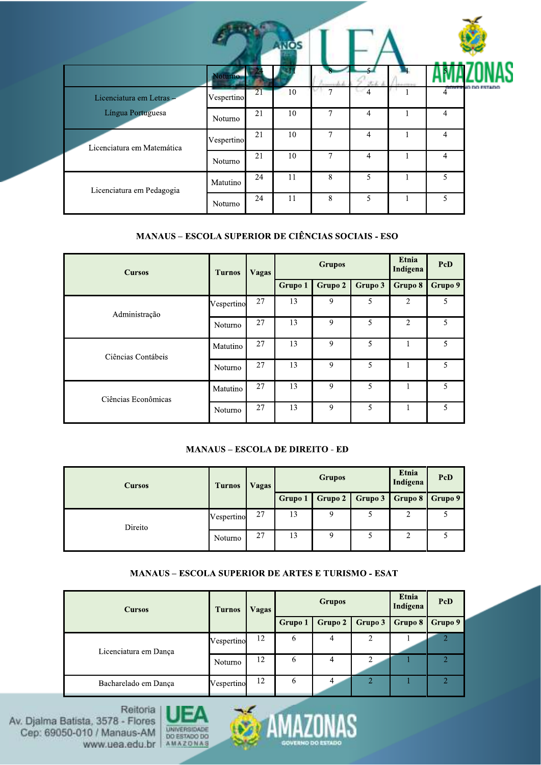|                            |            |    | <b>NOS</b> |                |                |                          |           |
|----------------------------|------------|----|------------|----------------|----------------|--------------------------|-----------|
|                            | Voturno    |    |            |                |                |                          |           |
| Licenciatura em Letras -   | Vespertino | 21 | 10         | ⇁              | 4              | <b>STEP OF BUIL</b><br>4 | io do Est |
| Língua Portuguesa          | Noturno    | 21 | 10         | $\overline{7}$ | $\overline{4}$ | $\overline{4}$           |           |
| Licenciatura em Matemática | Vespertino | 21 | 10         | 7              | 4              | $\overline{4}$           |           |
|                            | Noturno    | 21 | 10         | $\overline{7}$ | 4              | $\overline{4}$           |           |
| Licenciatura em Pedagogia  | Matutino   | 24 | 11         | 8              | 5              | 5                        |           |
|                            | Noturno    | 24 | 11         | 8              | 5              | 5                        |           |

#### **MANAUS - ESCOLA SUPERIOR DE CIÊNCIAS SOCIAIS - ESO**

| <b>Cursos</b>       | <b>Turnos</b> | <b>Vagas</b> |         | <b>Grupos</b> |         | Etnia<br>Indígena | PcD     |
|---------------------|---------------|--------------|---------|---------------|---------|-------------------|---------|
|                     |               |              | Grupo 1 | Grupo 2       | Grupo 3 | Grupo 8           | Grupo 9 |
| Administração       | Vespertino    | 27           | 13      | 9             | 5       | $\overline{2}$    | 5       |
|                     | Noturno       | 27           | 13      | 9             | 5       | $\overline{2}$    | 5       |
| Ciências Contábeis  | Matutino      | 27           | 13      | 9             | 5       | 1                 | 5       |
|                     | Noturno       | 27           | 13      | 9             | 5       | 1                 | 5.      |
| Ciências Econômicas | Matutino      | 27           | 13      | 9             | 5       | 1                 | 5       |
|                     | Noturno       | 27           | 13      | 9             | 5       | 1                 | 5       |

### **MANAUS - ESCOLA DE DIREITO - ED**

| <b>Cursos</b> | <b>Turnos</b> | Vagas |         | <b>Grupos</b> |         | <b>Etnia</b><br>Indígena | PcD     |
|---------------|---------------|-------|---------|---------------|---------|--------------------------|---------|
|               |               |       | Grupo 1 | Grupo 2       | Grupo 3 | Grupo 8                  | Grupo 9 |
| Direito       | Vespertino    | 27    | 13      | 9             |         | 2                        |         |
|               | Noturno       | 27    | 13      | 9             |         | 2                        |         |

### **MANAUS - ESCOLA SUPERIOR DE ARTES E TURISMO - ESAT**

| <b>Cursos</b>         | <b>Turnos</b> | Vagas |                | <b>Grupos</b> |               | Etnia<br>Indígena | PcD     |
|-----------------------|---------------|-------|----------------|---------------|---------------|-------------------|---------|
|                       |               |       | <b>Grupo 1</b> | Grupo 2       | Grupo 3       | Grupo 8           | Grupo 9 |
| Licenciatura em Dança | Vespertino    | 12    | 6              | 4             | 2             |                   |         |
|                       | Noturno       | 12    | 6              | 4             | 2             |                   |         |
| Bacharelado em Dança  | Vespertino    | 12    | 6              | 4             | $\mathcal{D}$ |                   |         |



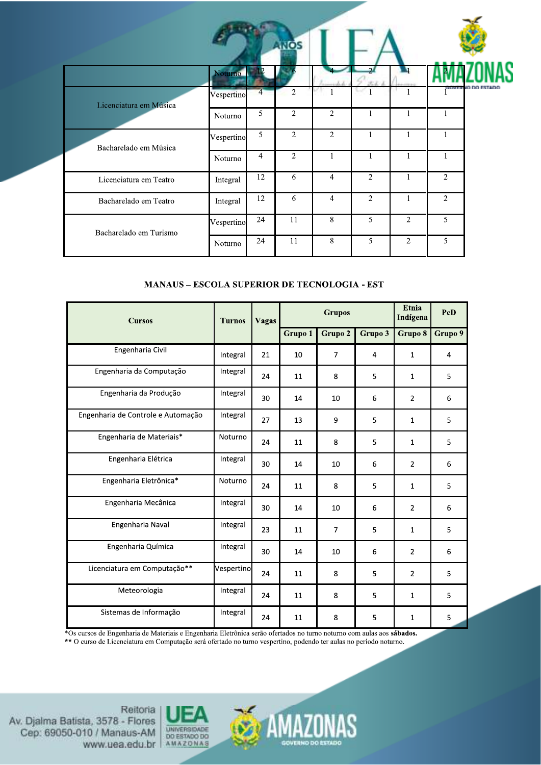|                        |            |                | <b>ANOS</b>    |                |                |                |                |         |
|------------------------|------------|----------------|----------------|----------------|----------------|----------------|----------------|---------|
|                        | Noturno    |                |                |                |                | м              |                |         |
| Licenciatura em Música | Vespertino | $\overline{4}$ | $\overline{2}$ |                |                |                |                | vo no r |
|                        | Noturno    | 5              | $\overline{2}$ | $\overline{2}$ |                |                |                |         |
| Bacharelado em Música  | Vespertino | 5              | $\overline{2}$ | 2              |                | 1              | 1              |         |
|                        | Noturno    | 4              | $\overline{2}$ | $\mathbf{1}$   |                | $\mathbf{1}$   | $\mathbf{1}$   |         |
| Licenciatura em Teatro | Integral   | 12             | 6              | $\overline{4}$ | $\overline{2}$ | 1              | 2              |         |
| Bacharelado em Teatro  | Integral   | 12             | 6              | $\overline{4}$ | $\overline{2}$ |                | $\overline{2}$ |         |
| Bacharelado em Turismo | Vespertino | 24             | 11             | 8              | 5              | $\overline{c}$ | 5              |         |
|                        | Noturno    | 24             | 11             | 8              | 5              | $\overline{2}$ | 5              |         |

### **MANAUS - ESCOLA SUPERIOR DE TECNOLOGIA - EST**

| <b>Cursos</b>                      | <b>Turnos</b> | <b>Vagas</b> | <b>Grupos</b> |                |                | Etnia<br>Indígena | PcD     |
|------------------------------------|---------------|--------------|---------------|----------------|----------------|-------------------|---------|
|                                    |               |              | Grupo 1       | Grupo 2        | Grupo 3        | Grupo 8           | Grupo 9 |
| Engenharia Civil                   | Integral      | 21           | 10            | $\overline{7}$ | $\overline{4}$ | $\mathbf{1}$      | 4       |
| Engenharia da Computação           | Integral      | 24           | 11            | 8              | 5              | $\mathbf{1}$      | 5       |
| Engenharia da Produção             | Integral      | 30           | 14            | 10             | 6              | 2                 | 6       |
| Engenharia de Controle e Automação | Integral      | 27           | 13            | 9              | 5              | $\mathbf{1}$      | 5       |
| Engenharia de Materiais*           | Noturno       | 24           | 11            | 8              | 5              | $\mathbf{1}$      | 5       |
| Engenharia Elétrica                | Integral      | 30           | 14            | 10             | 6              | $\overline{2}$    | 6       |
| Engenharia Eletrônica*             | Noturno       | 24           | 11            | 8              | 5              | $\mathbf{1}$      | 5       |
| Engenharia Mecânica                | Integral      | 30           | 14            | 10             | 6              | $\overline{2}$    | 6       |
| Engenharia Naval                   | Integral      | 23           | 11            | $\overline{7}$ | 5              | $\mathbf{1}$      | 5       |
| Engenharia Química                 | Integral      | 30           | 14            | 10             | 6              | $\overline{2}$    | 6       |
| Licenciatura em Computação**       | Vespertino    | 24           | 11            | 8              | 5              | $\overline{2}$    | 5       |
| Meteorologia                       | Integral      | 24           | 11            | 8              | 5              | $\mathbf{1}$      | 5       |
| Sistemas de Informação             | Integral      | 24           | 11            | 8              | 5              | $\mathbf{1}$      | 5       |

\*Os cursos de Engenharia de Materiais e Engenharia Eletrônica serão ofertados no turno noturno com aulas aos sábados.<br>\*\* O curso de Licenciatura em Computação será ofertado no turno vespertino, podendo ter aulas no período



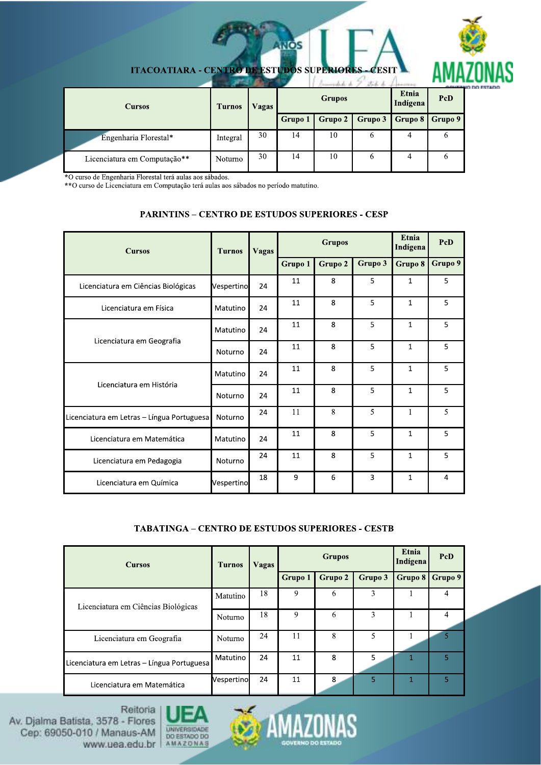

| <b>Cursos</b>                | <b>Turnos</b> | Vagas |         | <b>Grupos</b> | Etnia<br>Indígena | <b><i>PLANTING</i></b><br><b>PcD</b> |         |
|------------------------------|---------------|-------|---------|---------------|-------------------|--------------------------------------|---------|
|                              |               |       | Grupo 1 | Grupo 2       | Grupo 3           | $\vert$ Grupo 8 $\vert$              | Grupo 9 |
| Engenharia Florestal*        | Integral      | 30    | 14      | 10            | b                 | 4                                    | O       |
| Licenciatura em Computação** | Noturno       | 30    | 14      | 10            | O                 | 4                                    | o       |

**ITACOATIARA - CENTRO DE ESTUDOS SUPE**  $F_{\mathcal{A}}$  $1119.22$ 

**NOS** 

\*O curso de Engenharia Florestal terá aulas aos sábados.<br>\*\*O curso de Licenciatura em Computação terá aulas aos sábados no período matutino.

#### **PARINTINS - CENTRO DE ESTUDOS SUPERIORES - CESP**

| <b>Cursos</b>                              | <b>Turnos</b> | <b>Vagas</b> | <b>Grupos</b> |         |         | Etnia<br>Indígena                                                            | PcD     |
|--------------------------------------------|---------------|--------------|---------------|---------|---------|------------------------------------------------------------------------------|---------|
|                                            |               |              | Grupo 1       | Grupo 2 | Grupo 3 | Grupo 8                                                                      | Grupo 9 |
| Licenciatura em Ciências Biológicas        | Vespertino    | 24           | 11            | 8       | 5       | $\mathbf{1}$                                                                 | 5       |
| Licenciatura em Física                     | Matutino      | 24           | 11            | 8       | 5       | $\mathbf{1}$                                                                 | 5       |
|                                            | Matutino      | 24           | 11            | 8       | 5       | $\mathbf{1}$                                                                 | 5       |
| Licenciatura em Geografia                  | Noturno       | 24           | 11            | 8       | 5       | $\mathbf{1}$                                                                 | 5       |
| Licenciatura em História                   | Matutino      | 24           | 11            | 8       | 5       | $\mathbf{1}$                                                                 | 5       |
|                                            | Noturno       | 24           | 11            | 8       | 5       | $\mathbf{1}$<br>$\mathbf{1}$<br>$\mathbf{1}$<br>$\mathbf{1}$<br>$\mathbf{1}$ | 5       |
| Licenciatura em Letras – Língua Portuguesa | Noturno       | 24           | 11            | 8       | 5       |                                                                              | 5       |
| Licenciatura em Matemática                 | Matutino      | 24           | 11            | 8       | 5       |                                                                              | 5       |
| Licenciatura em Pedagogia                  | Noturno       | 24           | 11            | 8       | 5       |                                                                              | 5       |
| Licenciatura em Química                    | Vespertino    | 18           | 9             | 6       | 3       |                                                                              | 4       |

#### **TABATINGA - CENTRO DE ESTUDOS SUPERIORES - CESTB**

| <b>Cursos</b>                              | <b>Turnos</b>  | Vagas | <b>Grupos</b>  |         |         | Etnia<br>Indígena | <b>PcD</b> |
|--------------------------------------------|----------------|-------|----------------|---------|---------|-------------------|------------|
|                                            |                |       | <b>Grupo 1</b> | Grupo 2 | Grupo 3 | Grupo 8           | Grupo 9    |
| Licenciatura em Ciências Biológicas        | Matutino       | 18    | 9              | 6       | 3       |                   | 4          |
|                                            | <b>Noturno</b> | 18    | 9              | 6       | 3       |                   | 4          |
| Licenciatura em Geografia                  | Noturno        | 24    | 11             | 8       | 5       |                   |            |
| Licenciatura em Letras - Língua Portuguesa | Matutino       | 24    | 11             | 8       | 5       |                   | 5          |
| Licenciatura em Matemática                 | Vespertino     | 24    | 11             | 8       | 5       | 1                 | 5          |



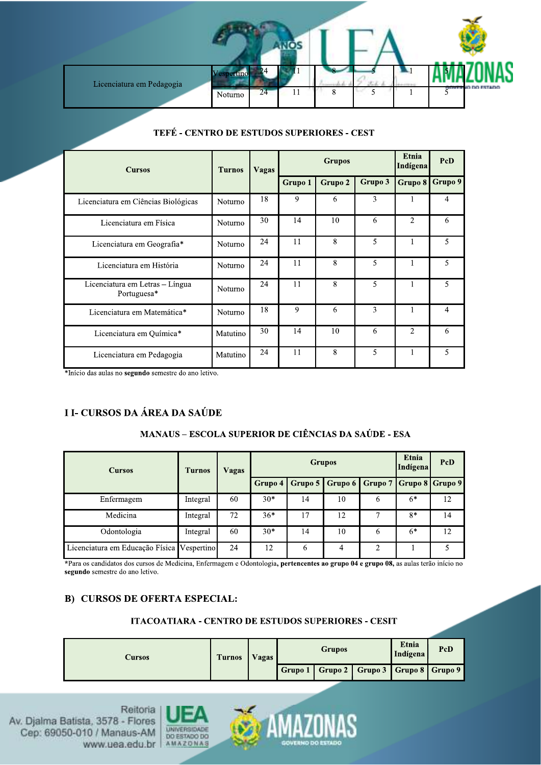

|  |  |  |  | TEFÉ - CENTRO DE ESTUDOS SUPERIORES - CEST |  |
|--|--|--|--|--------------------------------------------|--|
|--|--|--|--|--------------------------------------------|--|

| <b>Cursos</b>                                  | <b>Turnos</b>  | <b>Vagas</b> | <b>Grupos</b> |         |         | Etnia<br>Indígena | PcD     |
|------------------------------------------------|----------------|--------------|---------------|---------|---------|-------------------|---------|
|                                                |                |              | Grupo 1       | Grupo 2 | Grupo 3 | Grupo 8           | Grupo 9 |
| Licenciatura em Ciências Biológicas            | Noturno        | 18           | 9             | 6       | 3       |                   | 4       |
| Licenciatura em Física                         | Noturno        | 30           | 14            | 10      | 6       | $\overline{2}$    | 6       |
| Licenciatura em Geografia*                     | <b>Noturno</b> | 24           | 11            | 8       | 5       | $\mathbf{1}$      | 5       |
| Licenciatura em História                       | Noturno        | 24           | 11            | 8       | 5       |                   | 5       |
| Licenciatura em Letras - Língua<br>Portuguesa* | <b>Noturno</b> | 24           | 11            | 8       | 5       | $\mathbf{1}$      | 5       |
| Licenciatura em Matemática*                    | Noturno        | 18           | 9             | 6       | 3       |                   | 4       |
| Licenciatura em Química*                       | Matutino       | 30           | 14            | 10      | 6       | $\overline{2}$    | 6       |
| Licenciatura em Pedagogia                      | Matutino       | 24           | 11            | 8       | 5       | $\mathbf{1}$      | 5       |

\*Início das aulas no segundo semestre do ano letivo.

### **I I- CURSOS DA ÁREA DA SAÚDE**

### **MANAUS - ESCOLA SUPERIOR DE CIÊNCIAS DA SAÚDE - ESA**

| <b>Cursos</b>                   | <b>Turnos</b> | Vagas |         | <b>Grupos</b> |         |         | Etnia<br>Indígena | PcD |
|---------------------------------|---------------|-------|---------|---------------|---------|---------|-------------------|-----|
|                                 |               |       | Grupo 4 | Grupo 5       | Grupo 6 | Grupo 7 | Grupo 8 Grupo 9   |     |
| Enfermagem                      | Integral      | 60    | $30*$   | 14            | 10      | 6       | $6*$              | 12  |
| Medicina                        | Integral      | 72    | $36*$   | 17            | 12      |         | $8*$              | 14  |
| Odontologia                     | Integral      | 60    | $30*$   | 14            | 10      | 6       | $6*$              | 12  |
| Licenciatura em Educação Física | Vespertino    | 24    | 12      | 6             | 4       | 2       |                   |     |

\*Para os candidatos dos cursos de Medicina, Enfermagem e Odontologia, pertencentes ao grupo 04 e grupo 08, as aulas terão início no segundo semestre do ano letivo.

### **B) CURSOS DE OFERTA ESPECIAL:**

### **ITACOATIARA - CENTRO DE ESTUDOS SUPERIORES - CESIT**

| Cursos | <b>Turnos</b> | Vagas | <b>Grupos</b> |                                                 |  | Etnia<br>Indígena | PcD |
|--------|---------------|-------|---------------|-------------------------------------------------|--|-------------------|-----|
|        |               |       |               | Grupo 1   Grupo 2   Grupo 3   Grupo 8   Grupo 9 |  |                   |     |



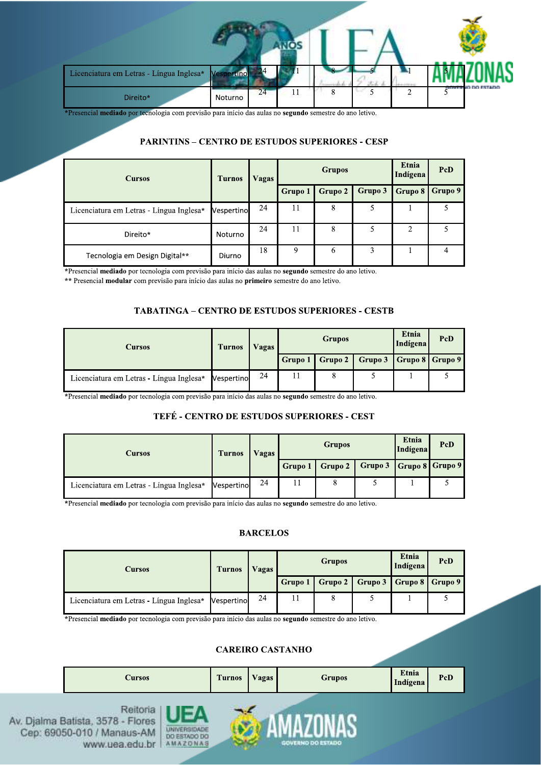| Licenciatura em Letras - Língua Inglesa*                                                                                                                           | Vespertino |    |    |   |   |                     |
|--------------------------------------------------------------------------------------------------------------------------------------------------------------------|------------|----|----|---|---|---------------------|
| Direito*                                                                                                                                                           | Noturno    | 24 | 11 | 8 | ◠ | $510000$ no estano. |
| *Presencial mediado por tecnologia com previsão para início das aulas no segundo semestre do ano letivo.<br><b>PARINTINS - CENTRO DE ESTUDOS SUPERIORES - CESP</b> |            |    |    |   |   |                     |
|                                                                                                                                                                    |            |    |    |   |   |                     |

#### PARINTINS - CENTRO DE ESTUDOS SUPERIORES - CESP

| <b>Cursos</b>                                                                                                                                                                                                                                                       | <b>Turnos</b> | <b>Vagas</b>                                   |         | <b>Grupos</b> |         | Etnia<br>Indígena | PcD            |
|---------------------------------------------------------------------------------------------------------------------------------------------------------------------------------------------------------------------------------------------------------------------|---------------|------------------------------------------------|---------|---------------|---------|-------------------|----------------|
|                                                                                                                                                                                                                                                                     |               |                                                | Grupo 1 | Grupo 2       | Grupo 3 | Grupo 8           | Grupo 9        |
| Licenciatura em Letras - Língua Inglesa*                                                                                                                                                                                                                            | Vespertino    | 24                                             | 11      | 8             | 5       | $\mathbf{1}$      | 5              |
| Direito*                                                                                                                                                                                                                                                            | Noturno       | 24                                             | 11      | 8             | 5       | $\overline{2}$    | 5              |
| Tecnologia em Design Digital**                                                                                                                                                                                                                                      | Diurno        | 18                                             | 9       | 6             | 3       | 1                 | $\overline{4}$ |
| *Presencial mediado por tecnologia com previsão para início das aulas no segundo semestre do ano letivo.<br>** Presencial modular com previsão para início das aulas no primeiro semestre do ano letivo.<br><b>TABATINGA - CENTRO DE ESTUDOS SUPERIORES - CESTB</b> |               |                                                |         |               |         |                   |                |
|                                                                                                                                                                                                                                                                     |               | <b>Grupos</b><br><b>Vagas</b><br><b>Turnos</b> |         |               |         |                   | PcD            |

### TABATINGA - CENTRO DE ESTUDOS SUPERIORES - CESTB

| <b>TABATINGA – CENTRO DE ESTUDOS SUPERIORES - CESTB</b>                                                                                                |               |              |                                    |         |         |                          |         |
|--------------------------------------------------------------------------------------------------------------------------------------------------------|---------------|--------------|------------------------------------|---------|---------|--------------------------|---------|
| <b>Cursos</b>                                                                                                                                          | <b>Turnos</b> | <b>Vagas</b> | <b>Grupos</b>                      |         |         | <b>Etnia</b><br>Indígena | PcD     |
|                                                                                                                                                        |               |              | Grupo 1                            | Grupo 2 | Grupo 3 | Grupo 8                  | Grupo 9 |
| Licenciatura em Letras - Língua Inglesa*                                                                                                               | Vespertino    | 24           | 11                                 | 8       | 5       |                          | 5       |
| *Presencial mediado por tecnologia com previsão para início das aulas no segundo semestre do ano letivo.<br>TEFÉ - CENTRO DE ESTUDOS SUPERIORES - CEST |               |              |                                    |         |         |                          |         |
| <b>Cursos</b>                                                                                                                                          | <b>Turnos</b> | <b>Vagas</b> | Etnia<br><b>Grupos</b><br>Indígena |         |         |                          | PcD     |
|                                                                                                                                                        |               |              | Grupo 1                            | Grupo 2 | Grupo 3 | Grupo 8 Grupo 9          |         |

### TEFÉ - CENTRO DE ESTUDOS SUPERIORES - CEST

| <b>Cursos</b>                                                                                            | <b>Turnos</b> | <b>Vagas</b> | <b>Grupos</b> |         |         | Etnia<br>Indígena | PcD     |
|----------------------------------------------------------------------------------------------------------|---------------|--------------|---------------|---------|---------|-------------------|---------|
|                                                                                                          |               |              | Grupo 1       | Grupo 2 | Grupo 3 | Grupo 8           | Grupo 9 |
| Licenciatura em Letras - Língua Inglesa*                                                                 | Vespertino    | 24           | 11            | 8       | 5       |                   | 5.      |
| *Presencial mediado por tecnologia com previsão para início das aulas no segundo semestre do ano letivo. |               |              |               |         |         |                   |         |

#### **BARCELOS**

|                                                                                                          |               | <b>BARCELOS</b> |         |               |         |                   |         |
|----------------------------------------------------------------------------------------------------------|---------------|-----------------|---------|---------------|---------|-------------------|---------|
| <b>Cursos</b>                                                                                            | <b>Turnos</b> | <b>Vagas</b>    |         | <b>Grupos</b> |         | Etnia<br>Indígena | PcD     |
|                                                                                                          |               |                 | Grupo 1 | Grupo 2       | Grupo 3 | Grupo 8           | Grupo 9 |
| Licenciatura em Letras - Língua Inglesa*                                                                 | Vespertino    | 24              | 11      | 8             | 5       |                   | 5       |
| *Presencial mediado por tecnologia com previsão para início das aulas no segundo semestre do ano letivo. |               |                 |         |               |         |                   |         |

#### CAREIRO CASTANHO

| *Presencial mediado por tecnologia com previsão para início das aulas no segundo semestre do ano letivo. |                                                 |               |       |                          |               |                   |     |  |
|----------------------------------------------------------------------------------------------------------|-------------------------------------------------|---------------|-------|--------------------------|---------------|-------------------|-----|--|
| <b>Cursos</b>                                                                                            |                                                 | <b>Turnos</b> | Vagas | <b>CAREIRO CASTANHO</b>  | <b>Grupos</b> | Etnia<br>Indígena | PcD |  |
| Reitoria<br>v. Djalma Batista, 3578 - Flores<br>Cep: 69050-010 / Manaus-AM<br>www.uea.edu.br             | UNIVERSIDADE<br>DD ESTADO DO<br><b>AMAZONAS</b> |               |       | <b>GOVERNO DO ESTADO</b> |               |                   |     |  |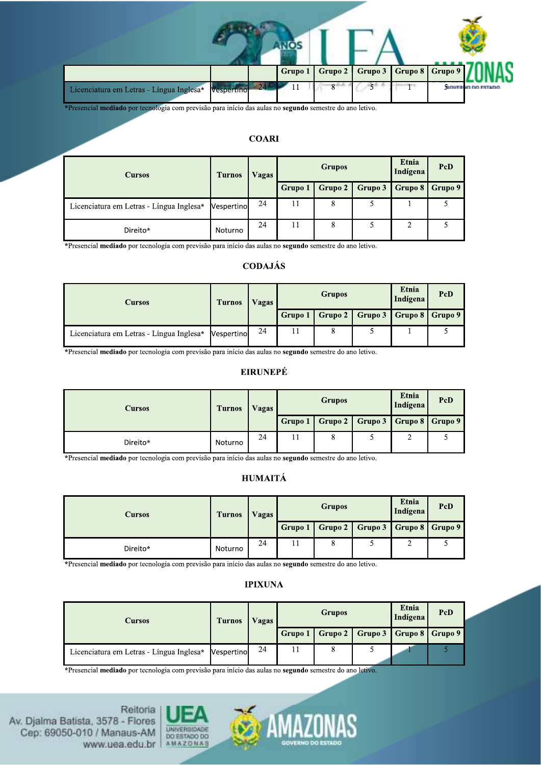|                                                                                                          |            |              | Grupo 1 | Grupo 2       | Grupo 3 | Grupo 8           | Grupo 9 |                   |
|----------------------------------------------------------------------------------------------------------|------------|--------------|---------|---------------|---------|-------------------|---------|-------------------|
| Licenciatura em Letras - Língua Inglesa*                                                                 | Vespertino | $-24$        | 11      |               |         |                   |         | GOVERNO DO ESTADO |
| *Presencial mediado por tecnologia com previsão para início das aulas no segundo semestre do ano letivo. |            | <b>COARI</b> |         |               |         |                   |         |                   |
|                                                                                                          |            |              |         | <b>Grupos</b> |         | Etnia<br>$I = A'$ | PcD     |                   |

### **COARI**

|                                                                                                          |               | <b>COARI</b>   |         |               |         |                   |         |  |
|----------------------------------------------------------------------------------------------------------|---------------|----------------|---------|---------------|---------|-------------------|---------|--|
| <b>Cursos</b>                                                                                            | <b>Turnos</b> | <b>Vagas</b>   |         | <b>Grupos</b> |         | Etnia<br>Indígena | PcD     |  |
|                                                                                                          |               |                | Grupo 1 | Grupo 2       | Grupo 3 | Grupo 8           | Grupo 9 |  |
| Licenciatura em Letras - Língua Inglesa*                                                                 | Vespertino    | 24             | 11      | 8             | 5       |                   | 5       |  |
| Direito*                                                                                                 | Noturno       | 24             | 11      | 8             | 5       | 2                 | 5       |  |
| *Presencial mediado por tecnologia com previsão para início das aulas no segundo semestre do ano letivo. |               |                |         |               |         |                   |         |  |
|                                                                                                          |               | <b>CODAJÁS</b> |         |               |         |                   |         |  |
| <b>Cursos</b>                                                                                            | <b>Turnos</b> | <b>Vagas</b>   |         | PcD           |         |                   |         |  |

### CODAJÁS

|                                                                                                          |               | <b>CODAJÁS</b>  |         |               |         |                   |         |
|----------------------------------------------------------------------------------------------------------|---------------|-----------------|---------|---------------|---------|-------------------|---------|
| <b>Cursos</b>                                                                                            | <b>Turnos</b> | Vagas           |         | <b>Grupos</b> |         | Etnia<br>Indígena | PcD     |
|                                                                                                          |               |                 | Grupo 1 | Grupo 2       | Grupo 3 | Grupo 8           | Grupo 9 |
| Licenciatura em Letras - Língua Inglesa*                                                                 | Vespertino    | 24              | 11      | 8             | 5       |                   | 5       |
| *Presencial mediado por tecnologia com previsão para início das aulas no segundo semestre do ano letivo. |               | <b>EIRUNEPÉ</b> |         |               |         |                   |         |
| <b>Cursos</b>                                                                                            | <b>Turnos</b> | <b>Vagas</b>    |         | <b>Grupos</b> |         | Etnia<br>Indígena | PcD     |

#### **EIRUNEPÉ**

|                                                                                                          |               | <b>EIRUNEPÉ</b>    |                                           |               |   |                   |         |  |
|----------------------------------------------------------------------------------------------------------|---------------|--------------------|-------------------------------------------|---------------|---|-------------------|---------|--|
| <b>Cursos</b>                                                                                            | <b>Turnos</b> | <b>Vagas</b>       |                                           | <b>Grupos</b> |   | Etnia<br>Indígena | PcD     |  |
|                                                                                                          |               | Grupo 2<br>Grupo 1 |                                           |               |   | Grupo 8           | Grupo 9 |  |
| Direito*                                                                                                 | Noturno       | 24                 | 11                                        | 8             | 5 | 2                 | 5.      |  |
| *Presencial mediado por tecnologia com previsão para início das aulas no segundo semestre do ano letivo. |               | <b>HUMAITÁ</b>     |                                           |               |   |                   |         |  |
| <b>Cursos</b>                                                                                            | <b>Turnos</b> | Vagas              | Etnia<br>PcD<br><b>Grupos</b><br>Indígena |               |   |                   |         |  |

### HUMAITÁ

| <b>HUMAITÁ</b>                                                                                                             |               |              |                                           |               |                   |         |         |  |
|----------------------------------------------------------------------------------------------------------------------------|---------------|--------------|-------------------------------------------|---------------|-------------------|---------|---------|--|
| <b>Cursos</b>                                                                                                              | <b>Turnos</b> | <b>Vagas</b> |                                           | <b>Grupos</b> | Etnia<br>Indígena | PcD     |         |  |
|                                                                                                                            |               |              | Grupo 1                                   | Grupo 2       | Grupo 3           | Grupo 8 | Grupo 9 |  |
| Direito*                                                                                                                   | Noturno       | 24           | 11                                        | 8             | 2                 | 5.      |         |  |
| *Presencial mediado por tecnologia com previsão para início das aulas no segundo semestre do ano letivo.<br><b>IPIXUNA</b> |               |              |                                           |               |                   |         |         |  |
| <b>Cursos</b>                                                                                                              | <b>Turnos</b> | <b>Vagas</b> | Etnia<br>PcD<br><b>Grupos</b><br>Indígena |               |                   |         |         |  |

#### **IPIXUNA**

| <b>IPIXUNA</b>                                                                                           |                     |                               |    |         |               |                   |         |         |  |
|----------------------------------------------------------------------------------------------------------|---------------------|-------------------------------|----|---------|---------------|-------------------|---------|---------|--|
| <b>Cursos</b>                                                                                            |                     | <b>Vagas</b><br><b>Turnos</b> |    |         | <b>Grupos</b> | Etnia<br>Indígena | PcD     |         |  |
|                                                                                                          |                     |                               |    | Grupo 1 | Grupo 2       | Grupo 3           | Grupo 8 | Grupo 9 |  |
| Licenciatura em Letras - Língua Inglesa*                                                                 |                     | Vespertino                    | 24 | 11      | 8             | 5                 |         |         |  |
| *Presencial mediado por tecnologia com previsão para início das aulas no segundo semestre do ano letivo. |                     |                               |    |         |               |                   |         |         |  |
| Reitona<br>Batista, 3578 - Flores<br>$50.010 / M$ gngue, AM                                              | <b>UNIVERSIDADE</b> |                               |    |         |               |                   |         |         |  |

www.uea.edu.br



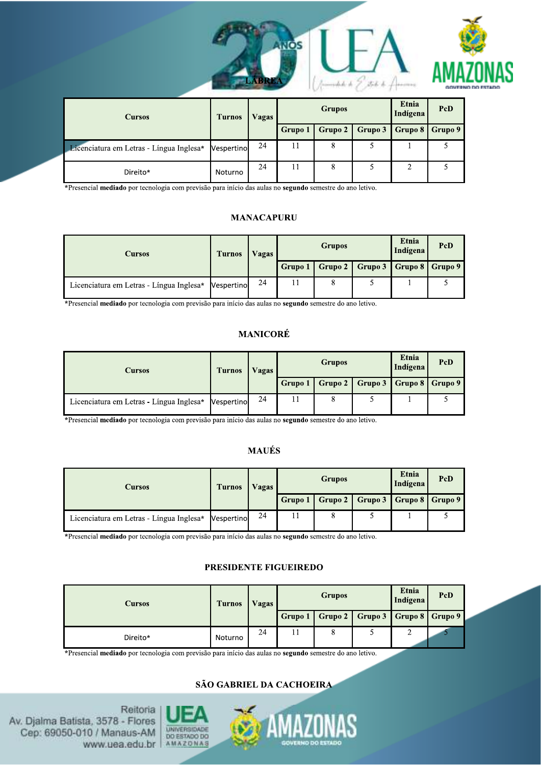



| <b>Cursos</b>                            | <b>Turnos</b>     | Vagas |         | <b>Grupos</b> |                   | Etnia<br>Indígena | PcD     |
|------------------------------------------|-------------------|-------|---------|---------------|-------------------|-------------------|---------|
|                                          |                   |       | Grupo 1 | Grupo 2       | Grupo 3   Grupo 8 |                   | Grupo 9 |
| Licenciatura em Letras - Língua Inglesa* | <b>Nespertino</b> | 24    | 11      | 8             |                   |                   |         |
| Direito*                                 | Noturno           | 24    | 11      | 8             |                   | ◠                 |         |

\*Presencial mediado por tecnologia com previsão para início das aulas no segundo semestre do ano letivo.

#### **MANACAPURU**

| <b>Cursos</b>                            | <b>Turnos</b> | Vagas | <b>Grupos</b> |                                                 |  | PcD |
|------------------------------------------|---------------|-------|---------------|-------------------------------------------------|--|-----|
|                                          |               |       |               | Grupo 1   Grupo 2   Grupo 3   Grupo 8   Grupo 9 |  |     |
| Licenciatura em Letras - Língua Inglesa* | Vespertino    | 24    |               |                                                 |  |     |

\*Presencial mediado por tecnologia com previsão para início das aulas no segundo semestre do ano letivo.

#### **MANICORÉ**

| Cursos                                   | <b>Turnos</b> | Vagas | <b>Grupos</b> |  |                                                 | Etnia<br>Indígena | PcD |
|------------------------------------------|---------------|-------|---------------|--|-------------------------------------------------|-------------------|-----|
|                                          |               |       |               |  | Grupo 1   Grupo 2   Grupo 3   Grupo 8   Grupo 9 |                   |     |
| Licenciatura em Letras - Língua Inglesa* | Vespertino    | 24    |               |  |                                                 |                   |     |

\*Presencial mediado por tecnologia com previsão para início das aulas no segundo semestre do ano letivo.

#### **MAUÉS**

| Cursos                                              | <b>Turnos</b> | Vagas | <b>Grupos</b> | Etnia<br>Indígena                               | PcD |  |
|-----------------------------------------------------|---------------|-------|---------------|-------------------------------------------------|-----|--|
|                                                     |               |       |               | Grupo 1   Grupo 2   Grupo 3   Grupo 8   Grupo 9 |     |  |
| Licenciatura em Letras - Língua Inglesa* Vespertino |               | 24    | 8             |                                                 |     |  |

\*Presencial mediado por tecnologia com previsão para início das aulas no segundo semestre do ano letivo.

#### PRESIDENTE FIGUEIREDO

| <b>Cursos</b> | <b>Turnos</b> | Vagas |         | <b>Grupos</b> |                                          | Etnia<br>Indígena | PcD |
|---------------|---------------|-------|---------|---------------|------------------------------------------|-------------------|-----|
|               |               |       | Grupo 1 |               | Grupo 2    Grupo 3    Grupo 8    Grupo 9 |                   |     |
| Direito*      | Noturno       | 24    |         |               |                                          | ∸                 |     |

\*Presencial mediado por tecnologia com previsão para início das aulas no segundo semestre do ano letivo.

#### SÃO GABRIEL DA CACHOEIRA



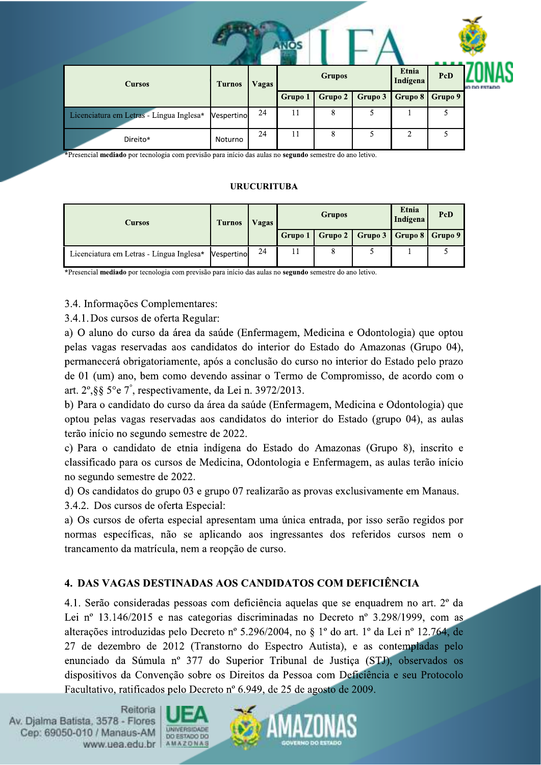| <b>Cursos</b>                            | <b>Turnos</b> | Vagas |                | <b>Grupos</b> |         | Etnia<br>Indígena | PcD     | <b>WO DO ESTADO</b> |
|------------------------------------------|---------------|-------|----------------|---------------|---------|-------------------|---------|---------------------|
|                                          |               |       | <b>Grupo 1</b> | Grupo 2       | Grupo 3 | Grupo 8           | Grupo 9 |                     |
| Licenciatura em Letras - Língua Inglesa* | Vespertino    | 24    | 11             | 8             | 5       |                   |         |                     |
| Direito*                                 | Noturno       | 24    | 11             | 8             | 5       | 2                 | 5       |                     |

Fresencial mediado por tecnologia com previsão para início das aulas no segundo semestre do ano letivo.

#### **URUCURITUBA**

| <b>Cursos</b>                            | <b>Turnos</b> |    | <b>Grupos</b> |                                                 | Etnia<br>Indígena | PcD |
|------------------------------------------|---------------|----|---------------|-------------------------------------------------|-------------------|-----|
|                                          |               |    |               | Grupo 1   Grupo 2   Grupo 3   Grupo 8   Grupo 9 |                   |     |
| Licenciatura em Letras - Língua Inglesa* | Vespertino    | 24 | 8             |                                                 |                   |     |

\*Presencial mediado por tecnologia com previsão para início das aulas no segundo semestre do ano letivo.

3.4. Informações Complementares:

3.4.1. Dos cursos de oferta Regular:

a) O aluno do curso da área da saúde (Enfermagem, Medicina e Odontologia) que optou pelas vagas reservadas aos candidatos do interior do Estado do Amazonas (Grupo 04), permanecerá obrigatoriamente, após a conclusão do curso no interior do Estado pelo prazo de 01 (um) ano, bem como devendo assinar o Termo de Compromisso, de acordo com o art. 2°, § 5° e 7°, respectivamente, da Lei n. 3972/2013.

b) Para o candidato do curso da área da saúde (Enfermagem, Medicina e Odontologia) que optou pelas vagas reservadas aos candidatos do interior do Estado (grupo 04), as aulas terão início no segundo semestre de 2022.

c) Para o candidato de etnia indígena do Estado do Amazonas (Grupo 8), inscrito e classificado para os cursos de Medicina, Odontologia e Enfermagem, as aulas terão início no segundo semestre de 2022.

d) Os candidatos do grupo 03 e grupo 07 realizarão as provas exclusivamente em Manaus. 3.4.2. Dos cursos de oferta Especial:

a) Os cursos de oferta especial apresentam uma única entrada, por isso serão regidos por normas específicas, não se aplicando aos ingressantes dos referidos cursos nem o trancamento da matrícula, nem a reopção de curso.

## 4. DAS VAGAS DESTINADAS AOS CANDIDATOS COM DEFICIÊNCIA

4.1. Serão consideradas pessoas com deficiência aquelas que se enquadrem no art. 2<sup>°</sup> da Lei nº 13.146/2015 e nas categorias discriminadas no Decreto nº 3.298/1999, com as alterações introduzidas pelo Decreto nº 5.296/2004, no § 1º do art. 1º da Lei nº 12.764, de 27 de dezembro de 2012 (Transtorno do Espectro Autista), e as contempladas pelo enunciado da Súmula nº 377 do Superior Tribunal de Justiça (STJ), observados os dispositivos da Convenção sobre os Direitos da Pessoa com Deficiência e seu Protocolo Facultativo, ratificados pelo Decreto nº 6.949, de 25 de agosto de 2009.



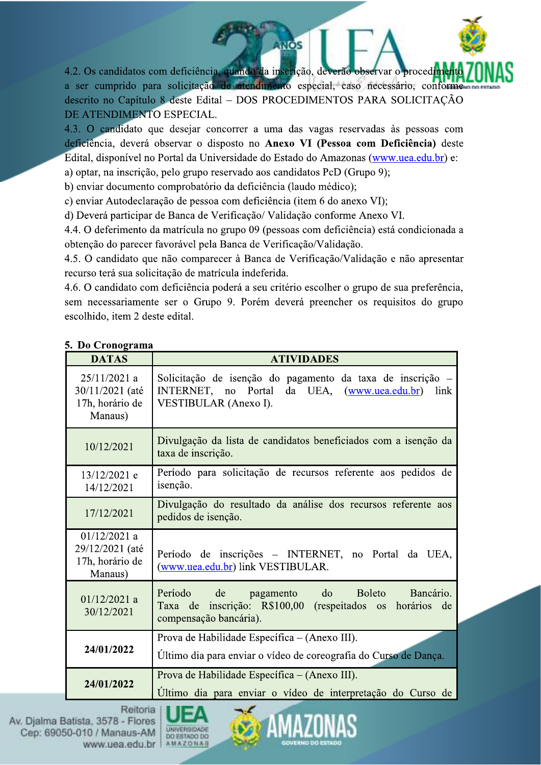4.2. Os candidatos com deficiência, quando da inscrição, deverão observar o procedim a ser cumprido para solicitação de atendimento especial, caso necessário, conforme descrito no Capítulo 8 deste Edital - DOS PROCEDIMENTOS PARA SOLICITAÇÃO DE ATENDIMENTO ESPECIAL.

**INOS** 

4.3. O candidato que desejar concorrer a uma das vagas reservadas às pessoas com deficiência, deverá observar o disposto no Anexo VI (Pessoa com Deficiência) deste Edital, disponível no Portal da Universidade do Estado do Amazonas (www.uea.edu.br) e: a) optar, na inscrição, pelo grupo reservado aos candidatos PcD (Grupo 9);

b) enviar documento comprobatório da deficiência (laudo médico);

c) enviar Autodeclaração de pessoa com deficiência (item 6 do anexo VI);

d) Deverá participar de Banca de Verificação/ Validação conforme Anexo VI.

4.4. O deferimento da matrícula no grupo 09 (pessoas com deficiência) está condicionada a obtenção do parecer favorável pela Banca de Verificação/Validação.

4.5. O candidato que não comparecer à Banca de Verificação/Validação e não apresentar recurso terá sua solicitação de matrícula indeferida.

4.6. O candidato com deficiência poderá a seu critério escolher o grupo de sua preferência, sem necessariamente ser o Grupo 9. Porém deverá preencher os requisitos do grupo escolhido, item 2 deste edital.

| <b>DATAS</b>                                                    | <b>ATIVIDADES</b>                                                                                                                                                                                                                                          |
|-----------------------------------------------------------------|------------------------------------------------------------------------------------------------------------------------------------------------------------------------------------------------------------------------------------------------------------|
| $25/11/2021$ a<br>30/11/2021 (até<br>17h, horário de<br>Manaus) | Solicitação de isenção do pagamento da taxa de inscrição –<br>INTERNET, no Portal<br>da UEA, (www.uea.edu.br)<br>link<br>VESTIBULAR (Anexo I).                                                                                                             |
| 10/12/2021                                                      | Divulgação da lista de candidatos beneficiados com a isenção da<br>taxa de inscrição.                                                                                                                                                                      |
| 13/12/2021 e<br>14/12/2021                                      | Período para solicitação de recursos referente aos pedidos de<br>isenção.                                                                                                                                                                                  |
| 17/12/2021                                                      | Divulgação do resultado da análise dos recursos referente aos<br>pedidos de isenção.                                                                                                                                                                       |
| $01/12/2021$ a<br>29/12/2021 (até<br>17h, horário de<br>Manaus) | Período de inscrições - INTERNET, no Portal da UEA,<br>(www.uea.edu.br) link VESTIBULAR.                                                                                                                                                                   |
| $01/12/2021$ a<br>30/12/2021                                    | Período de pagamento do Boleto<br>Bancário.<br><b>Contract Contract Contract Contract Contract Contract Contract Contract Contract Contract Contract Contract Co</b><br>Taxa de inscrição: R\$100,00 (respeitados os horários de<br>compensação bancária). |
| 24/01/2022                                                      | Prova de Habilidade Específica – (Anexo III).<br>Último dia para enviar o vídeo de coreografia do Curso de Dança.                                                                                                                                          |
| 24/01/2022                                                      | Prova de Habilidade Específica – (Anexo III).<br>Ultimo dia para enviar o vídeo de interpretação do Curso de                                                                                                                                               |

### 5. Do Cronograma



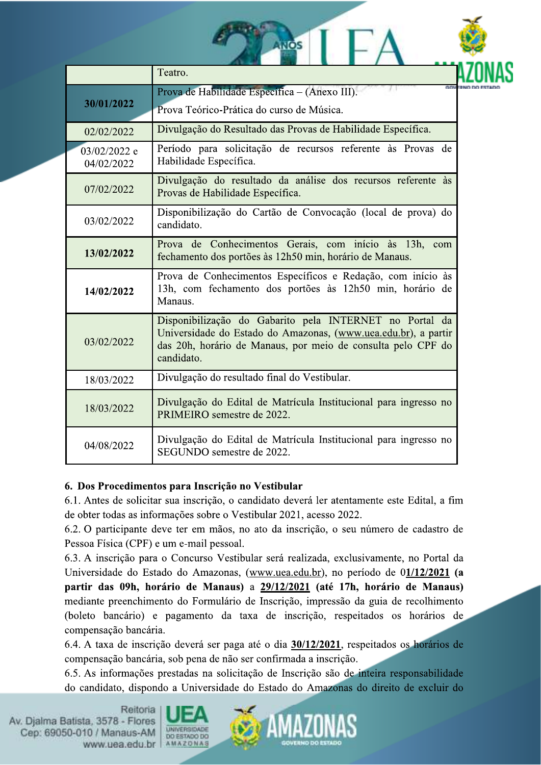|                            | Teatro.                                                                                                                                                                                                 |  |  |  |  |  |  |  |
|----------------------------|---------------------------------------------------------------------------------------------------------------------------------------------------------------------------------------------------------|--|--|--|--|--|--|--|
| 30/01/2022                 | Prova de Habilidade Específica - (Anexo III).                                                                                                                                                           |  |  |  |  |  |  |  |
|                            | Prova Teórico-Prática do curso de Música.                                                                                                                                                               |  |  |  |  |  |  |  |
| 02/02/2022                 | Divulgação do Resultado das Provas de Habilidade Específica.                                                                                                                                            |  |  |  |  |  |  |  |
| 03/02/2022 e<br>04/02/2022 | Período para solicitação de recursos referente às Provas de<br>Habilidade Específica.                                                                                                                   |  |  |  |  |  |  |  |
| 07/02/2022                 | Divulgação do resultado da análise dos recursos referente às<br>Provas de Habilidade Específica.                                                                                                        |  |  |  |  |  |  |  |
| 03/02/2022                 | Disponibilização do Cartão de Convocação (local de prova) do<br>candidato.                                                                                                                              |  |  |  |  |  |  |  |
| 13/02/2022                 | Prova de Conhecimentos Gerais, com início às 13h, com<br>fechamento dos portões às 12h50 min, horário de Manaus.                                                                                        |  |  |  |  |  |  |  |
| 14/02/2022                 | Prova de Conhecimentos Específicos e Redação, com início às<br>13h, com fechamento dos portões às 12h50 min, horário de<br>Manaus.                                                                      |  |  |  |  |  |  |  |
| 03/02/2022                 | Disponibilização do Gabarito pela INTERNET no Portal da<br>Universidade do Estado do Amazonas, (www.uea.edu.br), a partir<br>das 20h, horário de Manaus, por meio de consulta pelo CPF do<br>candidato. |  |  |  |  |  |  |  |
| 18/03/2022                 | Divulgação do resultado final do Vestibular.                                                                                                                                                            |  |  |  |  |  |  |  |
| 18/03/2022                 | Divulgação do Edital de Matrícula Institucional para ingresso no<br>PRIMEIRO semestre de 2022.                                                                                                          |  |  |  |  |  |  |  |
| 04/08/2022                 | Divulgação do Edital de Matrícula Institucional para ingresso no<br>SEGUNDO semestre de 2022.                                                                                                           |  |  |  |  |  |  |  |

 $NOS$   $\Gamma$   $\Gamma$   $\Lambda$ 

## 6. Dos Procedimentos para Inscrição no Vestibular

6.1. Antes de solicitar sua inscrição, o candidato deverá ler atentamente este Edital, a fim de obter todas as informações sobre o Vestibular 2021, acesso 2022.

6.2. O participante deve ter em mãos, no ato da inscrição, o seu número de cadastro de Pessoa Física (CPF) e um e-mail pessoal.

6.3. A inscrição para o Concurso Vestibular será realizada, exclusivamente, no Portal da Universidade do Estado do Amazonas, (www.uea.edu.br), no período de 01/12/2021 (a partir das 09h, horário de Manaus) a 29/12/2021 (até 17h, horário de Manaus) mediante preenchimento do Formulário de Inscrição, impressão da guia de recolhimento (boleto bancário) e pagamento da taxa de inscrição, respeitados os horários de compensação bancária.

6.4. A taxa de inscrição deverá ser paga até o dia 30/12/2021, respeitados os horários de compensação bancária, sob pena de não ser confirmada a inscrição.

6.5. As informações prestadas na solicitação de Inscrição são de inteira responsabilidade do candidato, dispondo a Universidade do Estado do Amazonas do direito de excluir do



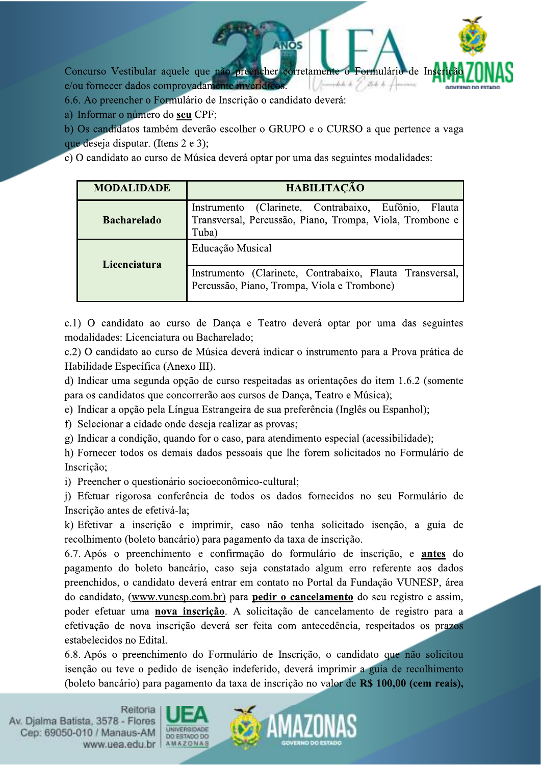Concurso Vestibular aquele que não preencher corretamente ormulário de In e/ou fornecer dados comprovadamente inverídicos. mhh b 7 stob b Lo

NOS

6.6. Ao preencher o Formulário de Inscrição o candidato deverá:

a) Informar o número do seu CPF;

b) Os candidatos também deverão escolher o GRUPO e o CURSO a que pertence a vaga que deseja disputar. (Itens 2 e 3);

c) O candidato ao curso de Música deverá optar por uma das seguintes modalidades:

| <b>MODALIDADE</b>  | <b>HABILITAÇÃO</b>                                                                                                        |
|--------------------|---------------------------------------------------------------------------------------------------------------------------|
| <b>Bacharelado</b> | Instrumento (Clarinete, Contrabaixo, Eufônio, Flauta<br>Transversal, Percussão, Piano, Trompa, Viola, Trombone e<br>Tuba) |
| Licenciatura       | Educação Musical                                                                                                          |
|                    | Instrumento (Clarinete, Contrabaixo, Flauta Transversal,  <br>Percussão, Piano, Trompa, Viola e Trombone)                 |

c.1) O candidato ao curso de Dança e Teatro deverá optar por uma das seguintes modalidades: Licenciatura ou Bacharelado;

c.2) O candidato ao curso de Música deverá indicar o instrumento para a Prova prática de Habilidade Específica (Anexo III).

d) Indicar uma segunda opção de curso respeitadas as orientações do item 1.6.2 (somente para os candidatos que concorrerão aos cursos de Dança, Teatro e Música);

e) Indicar a opção pela Língua Estrangeira de sua preferência (Inglês ou Espanhol);

f) Selecionar a cidade onde deseja realizar as provas;

g) Indicar a condição, quando for o caso, para atendimento especial (acessibilidade);

h) Fornecer todos os demais dados pessoais que lhe forem solicitados no Formulário de Inscrição;

i) Preencher o questionário socioeconômico-cultural;

j) Efetuar rigorosa conferência de todos os dados fornecidos no seu Formulário de Inscrição antes de efetivá-la;

k) Efetivar a inscrição e imprimir, caso não tenha solicitado isenção, a guia de recolhimento (boleto bancário) para pagamento da taxa de inscrição.

6.7. Após o preenchimento e confirmação do formulário de inscrição, e antes do pagamento do boleto bancário, caso seja constatado algum erro referente aos dados preenchidos, o candidato deverá entrar em contato no Portal da Fundação VUNESP, área do candidato, (www.vunesp.com.br) para **pedir o cancelamento** do seu registro e assim, poder efetuar uma nova inscrição. A solicitação de cancelamento de registro para a efetivação de nova inscrição deverá ser feita com antecedência, respeitados os prazos estabelecidos no Edital.

6.8. Após o preenchimento do Formulário de Inscrição, o candidato que não solicitou isenção ou teve o pedido de isenção indeferido, deverá imprimir a guia de recolhimento (boleto bancário) para pagamento da taxa de inscrição no valor de R\$ 100,00 (cem reais),



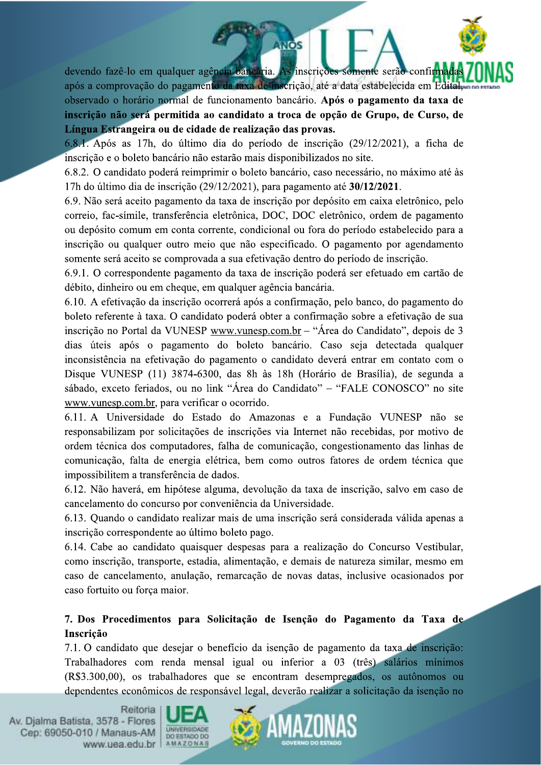devendo fazê-lo em qualquer agência bancária. As inscrições somente serão confirmada

após a comprovação do pagamento da taxa de inscrição, até a data estabelecida em Edital, observado o horário normal de funcionamento bancário. Após o pagamento da taxa de inscrição não será permitida ao candidato a troca de opção de Grupo, de Curso, de Língua Estrangeira ou de cidade de realização das provas.

**INOS** 

6.8.1. Após as 17h, do último dia do período de inscrição (29/12/2021), a ficha de inscrição e o boleto bancário não estarão mais disponibilizados no site.

6.8.2. O candidato poderá reimprimir o boleto bancário, caso necessário, no máximo até às 17h do último dia de inscrição (29/12/2021), para pagamento até 30/12/2021.

6.9. Não será aceito pagamento da taxa de inscrição por depósito em caixa eletrônico, pelo correio, fac-símile, transferência eletrônica, DOC, DOC eletrônico, ordem de pagamento ou depósito comum em conta corrente, condicional ou fora do período estabelecido para a inscrição ou qualquer outro meio que não especificado. O pagamento por agendamento somente será aceito se comprovada a sua efetivação dentro do período de inscrição.

6.9.1. O correspondente pagamento da taxa de inscrição poderá ser efetuado em cartão de débito, dinheiro ou em cheque, em qualquer agência bancária.

6.10. A efetivação da inscrição ocorrerá após a confirmação, pelo banco, do pagamento do boleto referente à taxa. O candidato poderá obter a confirmação sobre a efetivação de sua inscrição no Portal da VUNESP www.vunesp.com.br – "Área do Candidato", depois de 3 dias úteis após o pagamento do boleto bancário. Caso seja detectada qualquer inconsistência na efetivação do pagamento o candidato deverá entrar em contato com o Disque VUNESP (11) 3874-6300, das 8h às 18h (Horário de Brasília), de segunda a sábado, exceto feriados, ou no link "Área do Candidato" – "FALE CONOSCO" no site www.vunesp.com.br, para verificar o ocorrido.

6.11. A Universidade do Estado do Amazonas e a Fundação VUNESP não se responsabilizam por solicitações de inscrições via Internet não recebidas, por motivo de ordem técnica dos computadores, falha de comunicação, congestionamento das linhas de comunicação, falta de energia elétrica, bem como outros fatores de ordem técnica que impossibilitem a transferência de dados.

6.12. Não haverá, em hipótese alguma, devolução da taxa de inscrição, salvo em caso de cancelamento do concurso por conveniência da Universidade.

6.13. Quando o candidato realizar mais de uma inscrição será considerada válida apenas a inscrição correspondente ao último boleto pago.

6.14. Cabe ao candidato quaisquer despesas para a realização do Concurso Vestibular, como inscrição, transporte, estadia, alimentação, e demais de natureza similar, mesmo em caso de cancelamento, anulação, remarcação de novas datas, inclusive ocasionados por caso fortuito ou força maior.

## 7. Dos Procedimentos para Solicitação de Isenção do Pagamento da Taxa de Inscrição

7.1. O candidato que desejar o benefício da isenção de pagamento da taxa de inscrição: Trabalhadores com renda mensal igual ou inferior a 03 (três) salários mínimos (R\$3.300,00), os trabalhadores que se encontram desempregados, os autônomos ou dependentes econômicos de responsável legal, deverão realizar a solicitação da isenção no



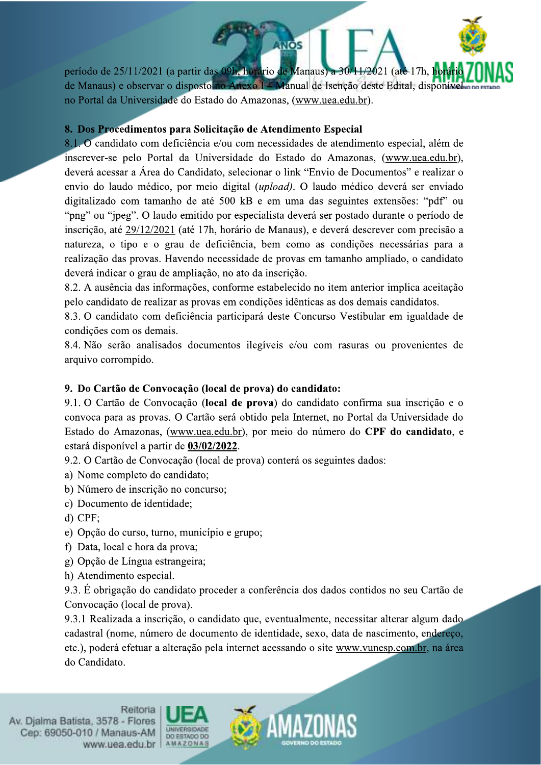período de 25/11/2021 (a partir das 09h, horário de Manaus) a 30/11/2021 (até 17h, ho de Manaus) e observar o disposto no Anexo I – Manual de Isenção deste Edital, disponíve no Portal da Universidade do Estado do Amazonas, (www.uea.edu.br).

**NOS** 

## 8. Dos Procedimentos para Solicitação de Atendimento Especial

8.1. O candidato com deficiência e/ou com necessidades de atendimento especial, além de inscrever-se pelo Portal da Universidade do Estado do Amazonas, (www.uea.edu.br), deverá acessar a Área do Candidato, selecionar o link "Envio de Documentos" e realizar o envio do laudo médico, por meio digital *(upload)*. O laudo médico deverá ser enviado digitalizado com tamanho de até 500 kB e em uma das seguintes extensões: "pdf" ou "png" ou "jpeg". O laudo emitido por especialista deverá ser postado durante o período de inscrição, até 29/12/2021 (até 17h, horário de Manaus), e deverá descrever com precisão a natureza, o tipo e o grau de deficiência, bem como as condições necessárias para a realização das provas. Havendo necessidade de provas em tamanho ampliado, o candidato deverá indicar o grau de ampliação, no ato da inscrição.

8.2. A ausência das informações, conforme estabelecido no item anterior implica aceitação pelo candidato de realizar as provas em condições idênticas as dos demais candidatos.

8.3. O candidato com deficiência participará deste Concurso Vestibular em igualdade de condições com os demais.

8.4. Não serão analisados documentos ilegíveis e/ou com rasuras ou provenientes de arquivo corrompido.

## 9. Do Cartão de Convocação (local de prova) do candidato:

9.1. O Cartão de Convocação (local de prova) do candidato confirma sua inscrição e o convoca para as provas. O Cartão será obtido pela Internet, no Portal da Universidade do Estado do Amazonas, (www.uea.edu.br), por meio do número do CPF do candidato, e estará disponível a partir de 03/02/2022.

9.2. O Cartão de Convocação (local de prova) conterá os seguintes dados:

a) Nome completo do candidato;

- b) Número de inscrição no concurso;
- c) Documento de identidade:
- $d)$  CPF:
- e) Opção do curso, turno, município e grupo;
- f) Data, local e hora da prova;
- g) Opção de Língua estrangeira;
- h) Atendimento especial.

9.3. É obrigação do candidato proceder a conferência dos dados contidos no seu Cartão de Convocação (local de prova).

9.3.1 Realizada a inscrição, o candidato que, eventualmente, necessitar alterar algum dado cadastral (nome, número de documento de identidade, sexo, data de nascimento, endereço, etc.), poderá efetuar a alteração pela internet acessando o site www.vunesp.com.br, na área do Candidato.

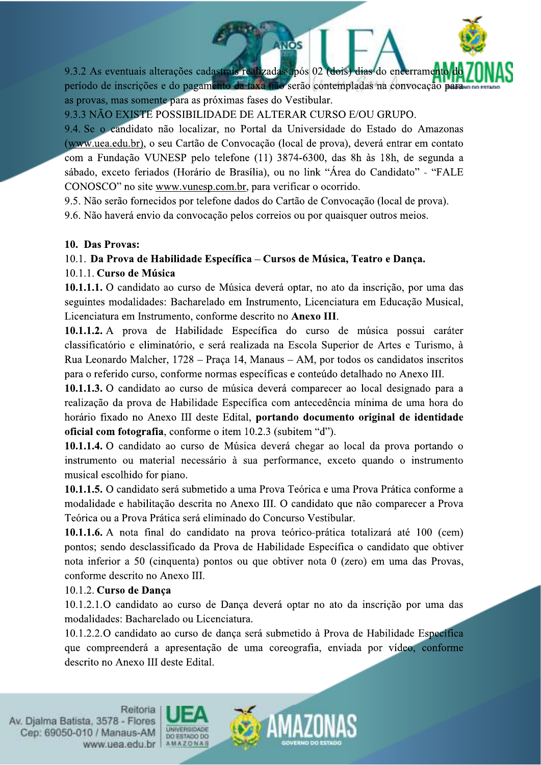9.3.2 As eventuais alterações cadastrais realizadas após 02 (dois) dias do encerrament período de inscrições e do pagamento da taxa não serão contempladas na convocação para. as provas, mas somente para as próximas fases do Vestibular.

**INOS** 

9.3.3 NÃO EXISTE POSSIBILIDADE DE ALTERAR CURSO E/OU GRUPO.

9.4. Se o candidato não localizar, no Portal da Universidade do Estado do Amazonas (www.uea.edu.br), o seu Cartão de Convocação (local de prova), deverá entrar em contato com a Fundação VUNESP pelo telefone (11) 3874-6300, das 8h às 18h, de segunda a sábado, exceto feriados (Horário de Brasília), ou no link "Área do Candidato" - "FALE CONOSCO" no site www.vunesp.com.br, para verificar o ocorrido.

9.5. Não serão fornecidos por telefone dados do Cartão de Convocação (local de prova).

9.6. Não haverá envio da convocação pelos correios ou por quaisquer outros meios.

### 10. Das Provas:

## 10.1. Da Prova de Habilidade Específica – Cursos de Música, Teatro e Dança.

### 10.1.1. Curso de Música

10.1.1.1. O candidato ao curso de Música deverá optar, no ato da inscrição, por uma das seguintes modalidades: Bacharelado em Instrumento, Licenciatura em Educação Musical, Licenciatura em Instrumento, conforme descrito no Anexo III.

10.1.1.2. A prova de Habilidade Específica do curso de música possui caráter classificatório e eliminatório, e será realizada na Escola Superior de Artes e Turismo, à Rua Leonardo Malcher, 1728 – Praça 14, Manaus – AM, por todos os candidatos inscritos para o referido curso, conforme normas específicas e conteúdo detalhado no Anexo III.

10.1.1.3. O candidato ao curso de música deverá comparecer ao local designado para a realização da prova de Habilidade Específica com antecedência mínima de uma hora do horário fixado no Anexo III deste Edital, portando documento original de identidade oficial com fotografia, conforme o item 10.2.3 (subitem "d").

10.1.1.4. O candidato ao curso de Música deverá chegar ao local da prova portando o instrumento ou material necessário à sua performance, exceto quando o instrumento musical escolhido for piano.

10.1.1.5. O candidato será submetido a uma Prova Teórica e uma Prova Prática conforme a modalidade e habilitação descrita no Anexo III. O candidato que não comparecer a Prova Teórica ou a Prova Prática será eliminado do Concurso Vestibular.

10.1.1.6. A nota final do candidato na prova teórico-prática totalizará até 100 (cem) pontos; sendo desclassificado da Prova de Habilidade Específica o candidato que obtiver nota inferior a 50 (cinquenta) pontos ou que obtiver nota 0 (zero) em uma das Provas, conforme descrito no Anexo III.

## 10.1.2. Curso de Dança

10.1.2.1.O candidato ao curso de Dança deverá optar no ato da inscrição por uma das modalidades: Bacharelado ou Licenciatura.

10.1.2.2. O candidato ao curso de dança será submetido à Prova de Habilidade Específica que compreenderá a apresentação de uma coreografia, enviada por vídeo, conforme descrito no Anexo III deste Edital.



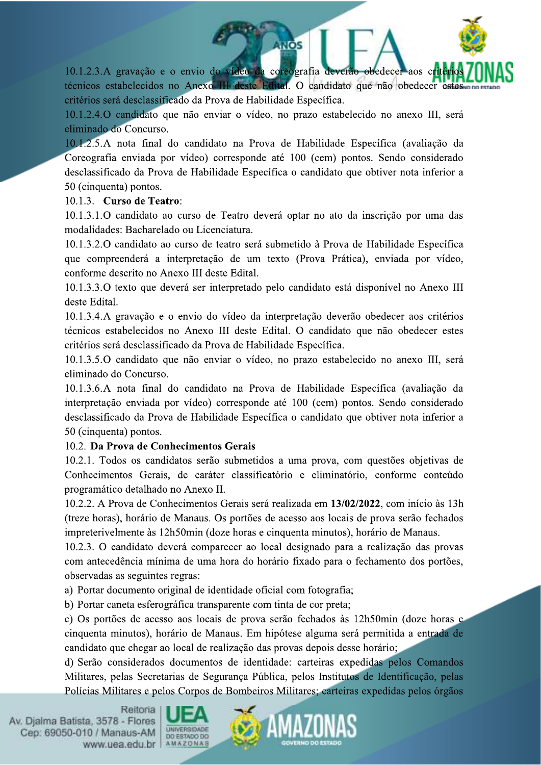10.1.2.3.A gravação e o envio do vídeo da coreografia deverão obedecer aos técnicos estabelecidos no Anexo III deste Edital. O candidato que não obedecer este critérios será desclassificado da Prova de Habilidade Específica.

**NOS** 

10.1.2.4. O candidato que não enviar o vídeo, no prazo estabelecido no anexo III, será eliminado do Concurso.

10.1.2.5.A nota final do candidato na Prova de Habilidade Específica (avaliação da Coreografia enviada por vídeo) corresponde até 100 (cem) pontos. Sendo considerado desclassificado da Prova de Habilidade Específica o candidato que obtiver nota inferior a 50 (cinquenta) pontos.

### 10.1.3. Curso de Teatro:

10.1.3.1.0 candidato ao curso de Teatro deverá optar no ato da inscrição por uma das modalidades: Bacharelado ou Licenciatura.

10.1.3.2.O candidato ao curso de teatro será submetido à Prova de Habilidade Específica que compreenderá a interpretação de um texto (Prova Prática), enviada por vídeo, conforme descrito no Anexo III deste Edital.

10.1.3.3.0 texto que deverá ser interpretado pelo candidato está disponível no Anexo III deste Edital.

10.1.3.4. A gravação e o envio do vídeo da interpretação deverão obedecer aos critérios técnicos estabelecidos no Anexo III deste Edital. O candidato que não obedecer estes critérios será desclassificado da Prova de Habilidade Específica.

10.1.3.5.0 candidato que não enviar o vídeo, no prazo estabelecido no anexo III, será eliminado do Concurso.

10.1.3.6.A nota final do candidato na Prova de Habilidade Específica (avaliação da interpretação enviada por vídeo) corresponde até 100 (cem) pontos. Sendo considerado desclassificado da Prova de Habilidade Específica o candidato que obtiver nota inferior a 50 (cinquenta) pontos.

## 10.2. Da Prova de Conhecimentos Gerais

10.2.1. Todos os candidatos serão submetidos a uma prova, com questões objetivas de Conhecimentos Gerais, de caráter classificatório e eliminatório, conforme conteúdo programático detalhado no Anexo II.

10.2.2. A Prova de Conhecimentos Gerais será realizada em 13/02/2022, com início às 13h (treze horas), horário de Manaus. Os portões de acesso aos locais de prova serão fechados impreterivelmente às 12h50min (doze horas e cinquenta minutos), horário de Manaus.

10.2.3. O candidato deverá comparecer ao local designado para a realização das provas com antecedência mínima de uma hora do horário fixado para o fechamento dos portões, observadas as seguintes regras:

a) Portar documento original de identidade oficial com fotografia;

b) Portar caneta esferográfica transparente com tinta de cor preta;

c) Os portões de acesso aos locais de prova serão fechados às 12h50min (doze horas e cinquenta minutos), horário de Manaus. Em hipótese alguma será permitida a entrada de candidato que chegar ao local de realização das provas depois desse horário;

d) Serão considerados documentos de identidade: carteiras expedidas pelos Comandos Militares, pelas Secretarias de Segurança Pública, pelos Institutos de Identificação, pelas Polícias Militares e pelos Corpos de Bombeiros Militares; carteiras expedidas pelos órgãos



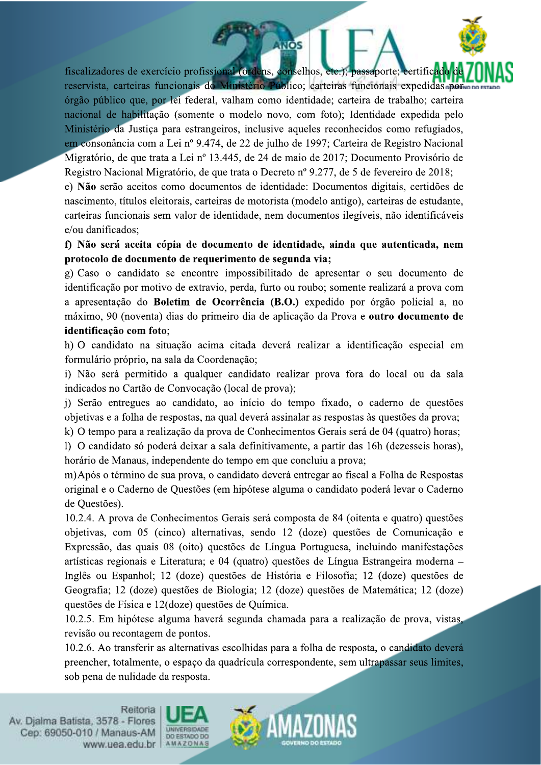fiscalizadores de exercício profissional (ordens, conselhos, etc.); passaporte; certificado reservista, carteiras funcionais do Ministério Público; carteiras funcionais expedidas por órgão público que, por lei federal, valham como identidade; carteira de trabalho; carteira nacional de habilitação (somente o modelo novo, com foto); Identidade expedida pelo Ministério da Justiça para estrangeiros, inclusive aqueles reconhecidos como refugiados, em consonância com a Lei nº 9.474, de 22 de julho de 1997; Carteira de Registro Nacional Migratório, de que trata a Lei nº 13.445, de 24 de maio de 2017; Documento Provisório de Registro Nacional Migratório, de que trata o Decreto nº 9.277, de 5 de fevereiro de 2018; e) Não serão aceitos como documentos de identidade: Documentos digitais, certidões de nascimento, títulos eleitorais, carteiras de motorista (modelo antigo), carteiras de estudante, carteiras funcionais sem valor de identidade, nem documentos ilegíveis, não identificáveis e/ou danificados:

**ANOS** 

f) Não será aceita cópia de documento de identidade, ainda que autenticada, nem protocolo de documento de requerimento de segunda via;

g) Caso o candidato se encontre impossibilitado de apresentar o seu documento de identificação por motivo de extravio, perda, furto ou roubo; somente realizará a prova com a apresentação do Boletim de Ocorrência (B.O.) expedido por órgão policial a, no máximo, 90 (noventa) dias do primeiro dia de aplicação da Prova e outro documento de identificação com foto;

h) O candidato na situação acima citada deverá realizar a identificação especial em formulário próprio, na sala da Coordenação;

i) Não será permitido a qualquer candidato realizar prova fora do local ou da sala indicados no Cartão de Convocação (local de prova);

i) Serão entregues ao candidato, ao início do tempo fixado, o caderno de questões objetivas e a folha de respostas, na qual deverá assinalar as respostas às questões da prova;

k) O tempo para a realização da prova de Conhecimentos Gerais será de 04 (quatro) horas;

1) O candidato só poderá deixar a sala definitivamente, a partir das 16h (dezesseis horas), horário de Manaus, independente do tempo em que concluiu a prova;

m) Após o término de sua prova, o candidato deverá entregar ao fiscal a Folha de Respostas original e o Caderno de Questões (em hipótese alguma o candidato poderá levar o Caderno de Ouestões).

10.2.4. A prova de Conhecimentos Gerais será composta de 84 (oitenta e quatro) questões obietivas, com 05 (cinco) alternativas, sendo 12 (doze) questões de Comunicação e Expressão, das quais 08 (oito) questões de Língua Portuguesa, incluindo manifestações artísticas regionais e Literatura; e 04 (quatro) questões de Língua Estrangeira moderna -Inglês ou Espanhol; 12 (doze) questões de História e Filosofia; 12 (doze) questões de Geografia; 12 (doze) questões de Biologia; 12 (doze) questões de Matemática; 12 (doze) questões de Física e 12(doze) questões de Ouímica.

10.2.5. Em hipótese alguma haverá segunda chamada para a realização de prova, vistas, revisão ou recontagem de pontos.

10.2.6. Ao transferir as alternativas escolhidas para a folha de resposta, o candidato deverá preencher, totalmente, o espaço da quadrícula correspondente, sem ultrapassar seus limites, sob pena de nulidade da resposta.



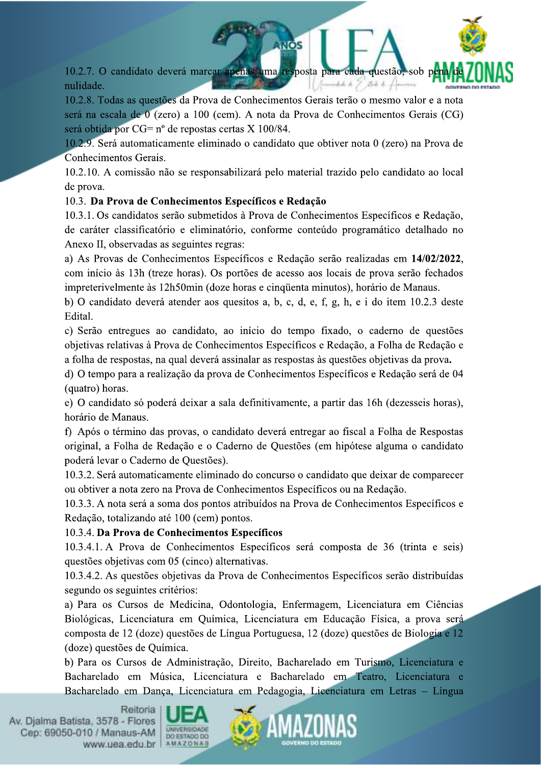10.2.7. O candidato deverá marcar apenas uma resposta para cada questão, sob pe uhh b. T. nulidade.  $JLRL$ 

10.2.8. Todas as questões da Prova de Conhecimentos Gerais terão o mesmo valor e a nota será na escala de 0 (zero) a 100 (cem). A nota da Prova de Conhecimentos Gerais (CG) será obtida por CG= nº de repostas certas X 100/84.

10.2.9. Será automaticamente eliminado o candidato que obtiver nota 0 (zero) na Prova de Conhecimentos Gerais.

10.2.10. A comissão não se responsabilizará pelo material trazido pelo candidato ao local de prova.

## 10.3. Da Prova de Conhecimentos Específicos e Redação

10.3.1. Os candidatos serão submetidos à Prova de Conhecimentos Específicos e Redação, de caráter classificatório e eliminatório, conforme conteúdo programático detalhado no Anexo II, observadas as seguintes regras:

a) As Provas de Conhecimentos Específicos e Redação serão realizadas em 14/02/2022, com início às 13h (treze horas). Os portões de acesso aos locais de prova serão fechados impreterivelmente às 12h50min (doze horas e cinquenta minutos), horário de Manaus.

b) O candidato deverá atender aos quesitos a, b, c, d, e, f, g, h, e i do item 10.2.3 deste Edital.

c) Serão entregues ao candidato, ao início do tempo fixado, o caderno de questões objetivas relativas à Prova de Conhecimentos Específicos e Redação, a Folha de Redação e a folha de respostas, na qual deverá assinalar as respostas às questões objetivas da prova.

d) O tempo para a realização da prova de Conhecimentos Específicos e Redação será de 04 (quatro) horas.

e) O candidato só poderá deixar a sala definitivamente, a partir das 16h (dezesseis horas), horário de Manaus.

f) Após o término das provas, o candidato deverá entregar ao fiscal a Folha de Respostas original, a Folha de Redação e o Caderno de Questões (em hipótese alguma o candidato poderá levar o Caderno de Questões).

10.3.2. Será automaticamente eliminado do concurso o candidato que deixar de comparecer ou obtiver a nota zero na Prova de Conhecimentos Específicos ou na Redação.

10.3.3. A nota será a soma dos pontos atribuídos na Prova de Conhecimentos Específicos e Redação, totalizando até 100 (cem) pontos.

## 10.3.4. Da Prova de Conhecimentos Específicos

10.3.4.1. A Prova de Conhecimentos Específicos será composta de 36 (trinta e seis) questões objetivas com 05 (cinco) alternativas.

10.3.4.2. As questões objetivas da Prova de Conhecimentos Específicos serão distribuídas segundo os seguintes critérios:

a) Para os Cursos de Medicina, Odontologia, Enfermagem, Licenciatura em Ciências Biológicas, Licenciatura em Química, Licenciatura em Educação Física, a prova será composta de 12 (doze) questões de Língua Portuguesa, 12 (doze) questões de Biologia e 12 (doze) questões de Química.

b) Para os Cursos de Administração, Direito, Bacharelado em Turismo, Licenciatura e Bacharelado em Música, Licenciatura e Bacharelado em Teatro, Licenciatura e Bacharelado em Dança, Licenciatura em Pedagogia, Licenciatura em Letras - Língua



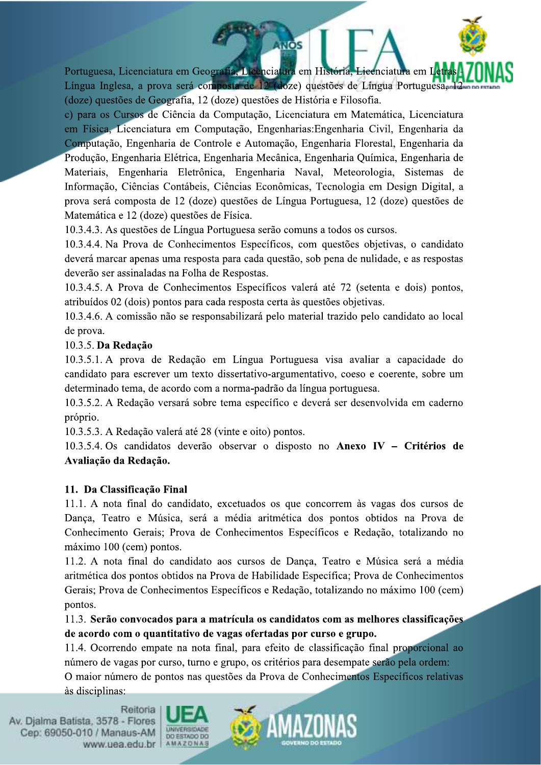Portuguesa, Licenciatura em Geografia, Licenciatura em História, Licenciatura em Língua Inglesa, a prova será composta de 12 (doze) questões de Língua Portuguesa, (doze) questões de Geografia, 12 (doze) questões de História e Filosofia.

**INOS** 

c) para os Cursos de Ciência da Computação, Licenciatura em Matemática, Licenciatura em Física, Licenciatura em Computação, Engenharias: Engenharia Civil, Engenharia da Computação, Engenharia de Controle e Automação, Engenharia Florestal, Engenharia da Produção, Engenharia Elétrica, Engenharia Mecânica, Engenharia Química, Engenharia de Materiais, Engenharia Eletrônica, Engenharia Naval, Meteorologia, Sistemas de Informação, Ciências Contábeis, Ciências Econômicas, Tecnologia em Design Digital, a prova será composta de 12 (doze) questões de Língua Portuguesa, 12 (doze) questões de Matemática e 12 (doze) questões de Física.

10.3.4.3. As questões de Língua Portuguesa serão comuns a todos os cursos.

10.3.4.4. Na Prova de Conhecimentos Específicos, com questões objetivas, o candidato deverá marcar apenas uma resposta para cada questão, sob pena de nulidade, e as respostas deverão ser assinaladas na Folha de Respostas.

10.3.4.5. A Prova de Conhecimentos Específicos valerá até 72 (setenta e dois) pontos, atribuídos 02 (dois) pontos para cada resposta certa às questões objetivas.

10.3.4.6. A comissão não se responsabilizará pelo material trazido pelo candidato ao local de prova.

## 10.3.5. Da Redação

10.3.5.1. A prova de Redação em Língua Portuguesa visa avaliar a capacidade do candidato para escrever um texto dissertativo-argumentativo, coeso e coerente, sobre um determinado tema, de acordo com a norma-padrão da língua portuguesa.

10.3.5.2. A Redação versará sobre tema específico e deverá ser desenvolvida em caderno próprio.

10.3.5.3. A Redação valerá até 28 (vinte e oito) pontos.

10.3.5.4. Os candidatos deverão observar o disposto no Anexo IV - Critérios de Avaliação da Redação.

## 11. Da Classificação Final

11.1. A nota final do candidato, excetuados os que concorrem às vagas dos cursos de Dança, Teatro e Música, será a média aritmética dos pontos obtidos na Prova de Conhecimento Gerais; Prova de Conhecimentos Específicos e Redação, totalizando no máximo 100 (cem) pontos.

11.2. A nota final do candidato aos cursos de Dança, Teatro e Música será a média aritmética dos pontos obtidos na Prova de Habilidade Específica; Prova de Conhecimentos Gerais; Prova de Conhecimentos Específicos e Redação, totalizando no máximo 100 (cem) nontos.

11.3. Serão convocados para a matrícula os candidatos com as melhores classificações de acordo com o quantitativo de vagas ofertadas por curso e grupo.

11.4. Ocorrendo empate na nota final, para efeito de classificação final proporcional ao número de vagas por curso, turno e grupo, os critérios para desempate serão pela ordem:

O maior número de pontos nas questões da Prova de Conhecimentos Específicos relativas às disciplinas:



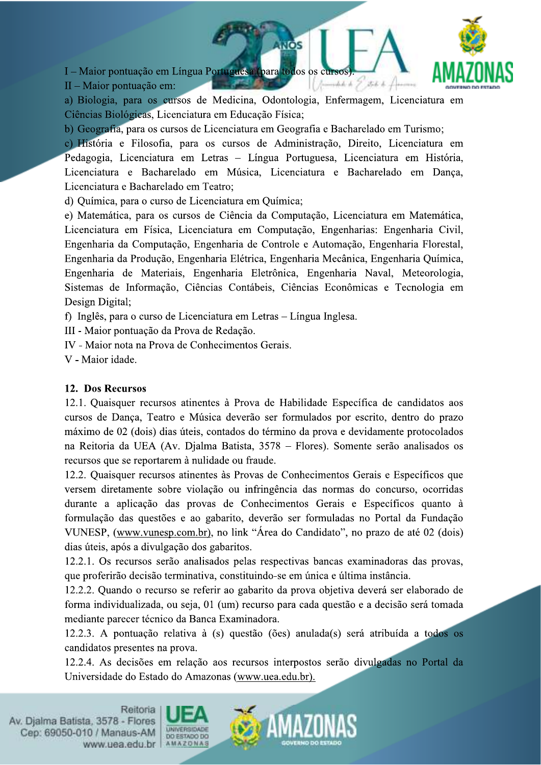I – Maior pontuação em Língua Portuguesa (para todos os cursos mhh h J stop k.



 $II$  – Maior pontuação em:

a) Biologia, para os cursos de Medicina, Odontologia, Enfermagem, Licenciatura em Ciências Biológicas, Licenciatura em Educação Física;

**NOS** 

b) Geografia, para os cursos de Licenciatura em Geografia e Bacharelado em Turismo;

c) História e Filosofia, para os cursos de Administração, Direito, Licenciatura em Pedagogia, Licenciatura em Letras - Língua Portuguesa, Licenciatura em História, Licenciatura e Bacharelado em Música, Licenciatura e Bacharelado em Dança, Licenciatura e Bacharelado em Teatro:

d) Ouímica, para o curso de Licenciatura em Ouímica;

e) Matemática, para os cursos de Ciência da Computação, Licenciatura em Matemática, Licenciatura em Física, Licenciatura em Computação, Engenharias: Engenharia Civil, Engenharia da Computação, Engenharia de Controle e Automação, Engenharia Florestal, Engenharia da Produção, Engenharia Elétrica, Engenharia Mecânica, Engenharia Química, Engenharia de Materiais, Engenharia Eletrônica, Engenharia Naval, Meteorologia, Sistemas de Informação, Ciências Contábeis, Ciências Econômicas e Tecnologia em Design Digital;

f) Inglês, para o curso de Licenciatura em Letras - Língua Inglesa.

III - Maior pontuação da Prova de Redação.

IV - Maior nota na Prova de Conhecimentos Gerais.

V - Maior idade.

### 12. Dos Recursos

12.1. Quaisquer recursos atinentes à Prova de Habilidade Específica de candidatos aos cursos de Dança, Teatro e Música deverão ser formulados por escrito, dentro do prazo máximo de 02 (dois) dias úteis, contados do término da prova e devidamente protocolados na Reitoria da UEA (Av. Djalma Batista, 3578 – Flores). Somente serão analisados os recursos que se reportarem à nulidade ou fraude.

12.2. Quaisquer recursos atinentes às Provas de Conhecimentos Gerais e Específicos que versem diretamente sobre violação ou infringência das normas do concurso, ocorridas durante a aplicação das provas de Conhecimentos Gerais e Específicos quanto à formulação das questões e ao gabarito, deverão ser formuladas no Portal da Fundação VUNESP, (www.vunesp.com.br), no link "Área do Candidato", no prazo de até 02 (dois) dias úteis, após a divulgação dos gabaritos.

12.2.1. Os recursos serão analisados pelas respectivas bancas examinadoras das provas, que proferirão decisão terminativa, constituindo-se em única e última instância.

12.2.2. Quando o recurso se referir ao gabarito da prova objetiva deverá ser elaborado de forma individualizada, ou seja, 01 (um) recurso para cada questão e a decisão será tomada mediante parecer técnico da Banca Examinadora.

12.2.3. A pontuação relativa à (s) questão (ões) anulada(s) será atribuída a todos os candidatos presentes na prova.

12.2.4. As decisões em relação aos recursos interpostos serão divulgadas no Portal da Universidade do Estado do Amazonas (www.uea.edu.br).



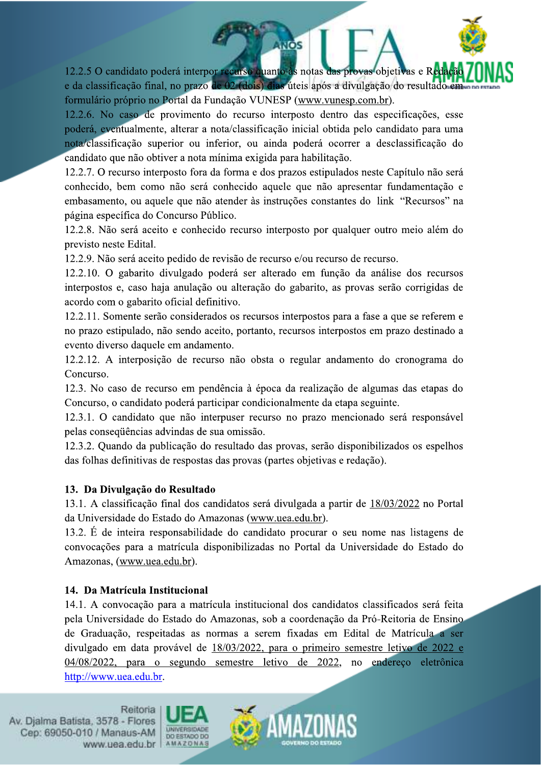12.2.5 O candidato poderá interpor recurso quanto às notas das provas objetivas e Reda e da classificação final, no prazo de 02 (dois) dias úteis após a divulgação do resultado em formulário próprio no Portal da Fundação VUNESP (www.vunesp.com.br).

**ANOS** 

12.2.6. No caso de provimento do recurso interposto dentro das especificações, esse poderá, eventualmente, alterar a nota/classificação inicial obtida pelo candidato para uma nota/classificação superior ou inferior, ou ainda poderá ocorrer a desclassificação do candidato que não obtiver a nota mínima exigida para habilitação.

12.2.7. O recurso interposto fora da forma e dos prazos estipulados neste Capítulo não será conhecido, bem como não será conhecido aquele que não apresentar fundamentação e embasamento, ou aquele que não atender às instruções constantes do link "Recursos" na página específica do Concurso Público.

12.2.8. Não será aceito e conhecido recurso interposto por qualquer outro meio além do previsto neste Edital.

12.2.9. Não será aceito pedido de revisão de recurso e/ou recurso de recurso.

12.2.10. O gabarito divulgado poderá ser alterado em função da análise dos recursos interpostos e, caso haja anulação ou alteração do gabarito, as provas serão corrigidas de acordo com o gabarito oficial definitivo.

12.2.11. Somente serão considerados os recursos interpostos para a fase a que se referem e no prazo estipulado, não sendo aceito, portanto, recursos interpostos em prazo destinado a evento diverso daquele em andamento.

12.2.12. A interposição de recurso não obsta o regular andamento do cronograma do Concurso.

12.3. No caso de recurso em pendência à época da realização de algumas das etapas do Concurso, o candidato poderá participar condicionalmente da etapa seguinte.

12.3.1. O candidato que não interpuser recurso no prazo mencionado será responsável pelas consequências advindas de sua omissão.

12.3.2. Quando da publicação do resultado das provas, serão disponibilizados os espelhos das folhas definitivas de respostas das provas (partes objetivas e redação).

# 13. Da Divulgação do Resultado

13.1. A classificação final dos candidatos será divulgada a partir de 18/03/2022 no Portal da Universidade do Estado do Amazonas (www.uea.edu.br).

13.2. É de inteira responsabilidade do candidato procurar o seu nome nas listagens de convocações para a matrícula disponibilizadas no Portal da Universidade do Estado do Amazonas, (www.uea.edu.br).

# 14. Da Matrícula Institucional

14.1. A convocação para a matrícula institucional dos candidatos classificados será feita pela Universidade do Estado do Amazonas, sob a coordenação da Pró-Reitoria de Ensino de Graduação, respeitadas as normas a serem fixadas em Edital de Matrícula a ser divulgado em data provável de 18/03/2022, para o primeiro semestre letivo de 2022 e 04/08/2022, para o segundo semestre letivo de 2022, no endereco eletrônica http://www.uea.edu.br.



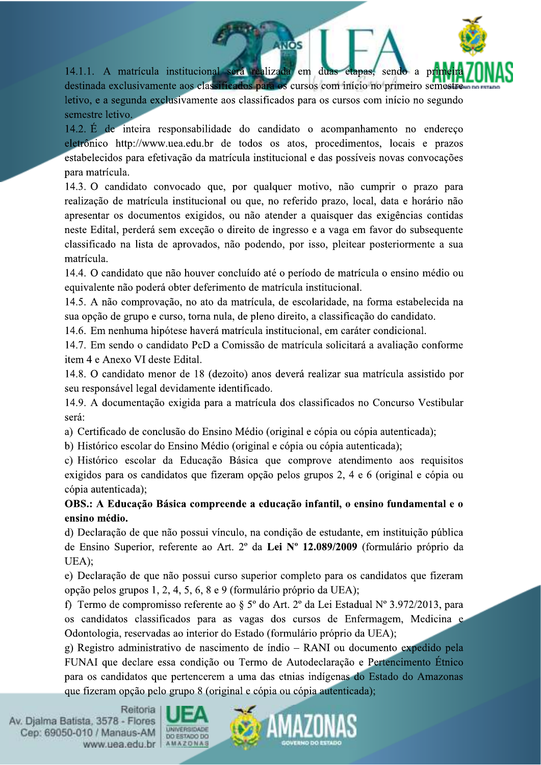14.1.1. A matrícula institucional será realizada em duas etapas, sendo a destinada exclusivamente aos classificados para os cursos com início no primeiro semestr letivo, e a segunda exclusivamente aos classificados para os cursos com início no segundo semestre letivo.

**NOS** 

14.2. É de inteira responsabilidade do candidato o acompanhamento no endereço eletrônico http://www.uea.edu.br de todos os atos, procedimentos, locais e prazos estabelecidos para efetivação da matrícula institucional e das possíveis novas convocações para matrícula.

14.3. O candidato convocado que, por qualquer motivo, não cumprir o prazo para realização de matrícula institucional ou que, no referido prazo, local, data e horário não apresentar os documentos exigidos, ou não atender a quaisquer das exigências contidas neste Edital, perderá sem exceção o direito de ingresso e a vaga em favor do subsequente classificado na lista de aprovados, não podendo, por isso, pleitear posteriormente a sua matrícula.

14.4. O candidato que não houver concluído até o período de matrícula o ensino médio ou equivalente não poderá obter deferimento de matrícula institucional.

14.5. A não comprovação, no ato da matrícula, de escolaridade, na forma estabelecida na sua opção de grupo e curso, torna nula, de pleno direito, a classificação do candidato.

14.6. Em nenhuma hipótese haverá matrícula institucional, em caráter condicional.

14.7. Em sendo o candidato PcD a Comissão de matrícula solicitará a avaliação conforme item 4 e Anexo VI deste Edital.

14.8. O candidato menor de 18 (dezoito) anos deverá realizar sua matrícula assistido por seu responsável legal devidamente identificado.

14.9. A documentação exigida para a matrícula dos classificados no Concurso Vestibular será:

a) Certificado de conclusão do Ensino Médio (original e cópia ou cópia autenticada);

b) Histórico escolar do Ensino Médio (original e cópia ou cópia autenticada);

c) Histórico escolar da Educação Básica que comprove atendimento aos requisitos exigidos para os candidatos que fizeram opção pelos grupos 2, 4 e 6 (original e cópia ou cópia autenticada);

OBS.: A Educação Básica compreende a educação infantil, o ensino fundamental e o ensino médio.

d) Declaração de que não possui vínculo, na condição de estudante, em instituição pública de Ensino Superior, referente ao Art. 2º da Lei Nº 12.089/2009 (formulário próprio da UEA):

e) Declaração de que não possui curso superior completo para os candidatos que fizeram opção pelos grupos 1, 2, 4, 5, 6, 8 e 9 (formulário próprio da UEA);

f) Termo de compromisso referente ao § 5º do Art. 2º da Lei Estadual Nº 3.972/2013, para os candidatos classificados para as vagas dos cursos de Enfermagem, Medicina e Odontologia, reservadas ao interior do Estado (formulário próprio da UEA);

g) Registro administrativo de nascimento de índio – RANI ou documento expedido pela FUNAI que declare essa condição ou Termo de Autodeclaração e Pertencimento Étnico para os candidatos que pertencerem a uma das etnias indígenas do Estado do Amazonas que fizeram opção pelo grupo 8 (original e cópia ou cópia autenticada);



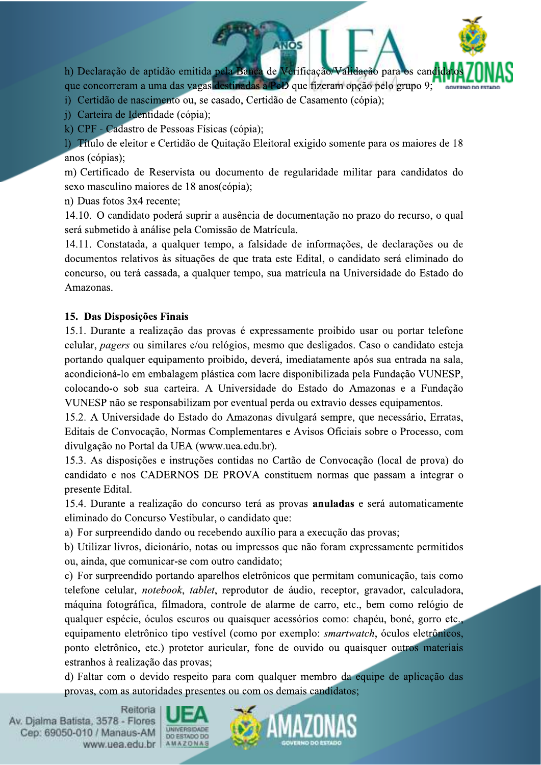h) Declaração de aptidão emitida pela Banca de Verificação/Validação para os cand que concorreram a uma das vagas destinadas a PcD que fizeram opção pelo grupo 9;

**INOS** 

i) Certidão de nascimento ou, se casado, Certidão de Casamento (cópia);

j) Carteira de Identidade (cópia);

k) CPF - Cadastro de Pessoas Físicas (cópia);

1) Título de eleitor e Certidão de Quitação Eleitoral exigido somente para os maiores de 18 anos (cópias):

m) Certificado de Reservista ou documento de regularidade militar para candidatos do sexo masculino maiores de 18 anos(cópia);

n) Duas fotos 3x4 recente;

14.10. O candidato poderá suprir a ausência de documentação no prazo do recurso, o qual será submetido à análise pela Comissão de Matrícula.

14.11. Constatada, a qualquer tempo, a falsidade de informações, de declarações ou de documentos relativos às situações de que trata este Edital, o candidato será eliminado do concurso, ou terá cassada, a qualquer tempo, sua matrícula na Universidade do Estado do Amazonas.

### 15. Das Disposições Finais

15.1. Durante a realização das provas é expressamente proibido usar ou portar telefone celular, *pagers* ou similares e/ou relógios, mesmo que desligados. Caso o candidato esteja portando qualquer equipamento proibido, deverá, imediatamente após sua entrada na sala, acondicioná-lo em embalagem plástica com lacre disponibilizada pela Fundação VUNESP, colocando-o sob sua carteira. A Universidade do Estado do Amazonas e a Fundação VUNESP não se responsabilizam por eventual perda ou extravio desses equipamentos.

15.2. A Universidade do Estado do Amazonas divulgará sempre, que necessário, Erratas, Editais de Convocação, Normas Complementares e Avisos Oficiais sobre o Processo, com divulgação no Portal da UEA (www.uea.edu.br).

15.3. As disposições e instruções contidas no Cartão de Convocação (local de prova) do candidato e nos CADERNOS DE PROVA constituem normas que passam a integrar o presente Edital.

15.4. Durante a realização do concurso terá as provas anuladas e será automaticamente eliminado do Concurso Vestibular, o candidato que:

a) For surpreendido dando ou recebendo auxílio para a execução das provas:

b) Utilizar livros, dicionário, notas ou impressos que não foram expressamente permitidos ou, ainda, que comunicar-se com outro candidato;

c) For surpreendido portando aparelhos eletrônicos que permitam comunicação, tais como telefone celular, notebook, tablet, reprodutor de áudio, receptor, gravador, calculadora, máquina fotográfica, filmadora, controle de alarme de carro, etc., bem como relógio de qualquer espécie, óculos escuros ou quaisquer acessórios como: chapéu, boné, gorro etc. equipamento eletrônico tipo vestível (como por exemplo: *smartwatch*, óculos eletrônicos, ponto eletrônico, etc.) protetor auricular, fone de ouvido ou quaisquer outros materiais estranhos à realização das provas;

d) Faltar com o devido respeito para com qualquer membro da equipe de aplicação das provas, com as autoridades presentes ou com os demais candidatos: